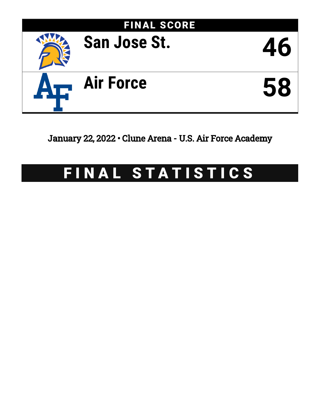

January 22, 2022 • Clune Arena - U.S. Air Force Academy

# FINAL STATISTICS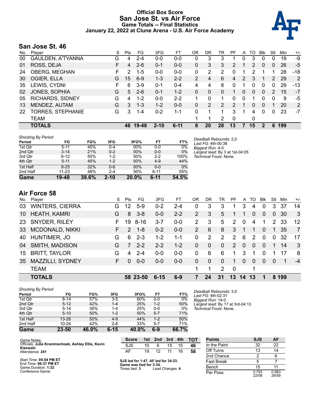### **Official Box Score San Jose St. vs Air Force Game Totals -- Final Statistics January 22, 2022 at Clune Arena - U.S. Air Force Academy**



# **San Jose St. 46**

| No. | Plaver                   | S  | <b>Pts</b> | FG.     | 3FG      | FТ       | 0 <sub>R</sub> | DR | TR             | РF             | A | TO            | <b>Blk</b>   | Stl            | Min | $+/-$ |
|-----|--------------------------|----|------------|---------|----------|----------|----------------|----|----------------|----------------|---|---------------|--------------|----------------|-----|-------|
| 00  | GAULDEN, A'TYANNA        | G  | 4          | $2 - 4$ | $0-0$    | $0-0$    | 0              | 3  | 3              |                | 0 | 3             | 0            | 0              | 19  | -9    |
| 01  | ROSS, DEJA               | F  | 4          | $2-6$   | $0 - 1$  | $0 - 0$  | 0              | 3  | 3              | $\overline{2}$ |   | $\mathcal{P}$ | $\Omega$     | 0              | 26  | $-5$  |
| 24  | OBERG, MEGHAN            | F. | っ          | $1 - 5$ | $0 - 0$  | $0 - 0$  | 0              | 2  | 2              | 0              |   | 2             |              |                | 28  | $-18$ |
| 30  | OGIER, ELLA              | G  | 15         | $6-9$   | $1 - 3$  | $2 - 2$  | 2              | 4  | 6              | $\overline{4}$ | 2 | 3             |              | 2              | 29  | 2     |
| 35  | LEWIS, CYDNI             | F  | 6          | $3-9$   | $0 - 1$  | $0 - 4$  | 4              | 4  | 8              | 0              |   | 0             | $\Omega$     | 0              | 29  | $-13$ |
| 02  | JONES, SOPHIA            | G  | 5          | $2-6$   | $0 - 1$  | $1 - 2$  | 0              | 0  | 0              |                | 0 | 0             | $\mathbf{0}$ | $\overline{2}$ | 15  | $-7$  |
| 05  | <b>RICHARDS, SIDNEY</b>  | G  | 4          | $1 - 2$ | $0 - 0$  | $2 - 2$  |                | 0  |                | 0              | 0 |               |              | 0              | 9   | -5    |
| 13  | MENDEZ, AUTAM            | G  | 3          | $1 - 3$ | $1 - 2$  | $0 - 0$  | 0              | 2  | $\overline{2}$ | $\mathcal{P}$  |   | 0             | $\Omega$     |                | 20  | 2     |
| 22  | <b>TORRES, STEPHANIE</b> | G  | 3          | $1 - 4$ | $0 - 2$  | $1 - 1$  | 0              |    |                | 3              |   | 4             | $\Omega$     | $\Omega$       | 23  | -7    |
|     | TEAM                     |    |            |         |          |          |                |    | 2              | $\Omega$       |   | 0             |              |                |     |       |
|     | <b>TOTALS</b>            |    | 46.        | 19-48   | $2 - 10$ | $6 - 11$ | 8              | 20 | 28             | 13             | 7 | 15            | 2            | 6              | 199 |       |

| <b>Shooting By Period</b> |           |       |          |        |          | Ð         |
|---------------------------|-----------|-------|----------|--------|----------|-----------|
| Period                    | FG        | FG%   | 3FG      | 3FG%   | FT       | FT%       |
| 1st Qtr                   | $5 - 11$  | 45%   | $0 - 4$  | 00%    | $0 - 0$  | 0%<br>B   |
| 2nd Qtr                   | $3 - 14$  | 21%   | $0 - 2$  | 00%    | $0 - 0$  | 0%<br>L   |
| 3rd Qtr                   | $6 - 12$  | 50%   | $1 - 2$  | 50%    | $2 - 2$  | 100%<br>Т |
| 4th Qtr                   | $5 - 11$  | 45%   | $1 - 2$  | 50%    | $4 - 9$  | 44%       |
| 1st Half                  | $8 - 25$  | 32%   | 0-6      | $00\%$ | $0 - 0$  | $0\%$     |
| 2nd Half                  | $11 - 23$ | 48%   | $2 - 4$  | 50%    | $6 - 11$ | 55%       |
| Game                      | $19 - 48$ | 39.6% | $2 - 10$ | 20.0%  | $6 - 11$ | 54.5%     |

*Deadball Rebounds:* 2,0 *Last FG:* 4th-00:38 *Biggest Run:* 4-0 *Largest lead:* By 3 at 1st-04:05 *Technical Fouls:* None.

# **Air Force 58**

| No.         | Player                 | S  | Pts           | FG.      | 3FG      | FТ      | OR            | DR          | TR           | PF  | A           | TO            | <b>BIK</b> | Stl      | Min     | $+/-$ |
|-------------|------------------------|----|---------------|----------|----------|---------|---------------|-------------|--------------|-----|-------------|---------------|------------|----------|---------|-------|
| 03          | <b>WINTERS, CIERRA</b> | G  | 12            | $5-9$    | $0 - 2$  | $2 - 4$ | 0             | 3           | 3            |     | 3           | 4             | 0          | 3        | 37      | 14    |
| <u> 10 </u> | HEATH, KAMRI           | G  | 8             | $3 - 8$  | $0-0$    | $2 - 2$ | 2             | 3           | 5            |     |             | 0             | $\Omega$   | $\Omega$ | 30      | 3     |
|             | 23 SNYDER, RILEY       | F. | 19            | $8 - 16$ | $3 - 7$  | $0 - 0$ | 2             | 3           | 5            | 2   | $\Omega$    | 4             | 1          | 2        | -33     | 12    |
|             | 33 MCDONALD, NIKKI     | F. | $\mathcal{P}$ | $1 - 8$  | $0 - 2$  | $0 - 0$ | $\mathcal{P}$ | 6           | 8            | 3   | $\mathbf 1$ | 1             | $\Omega$   | 1        | 35      | 7     |
|             | 40 HUNTIMER, JO        | G  | 6             | $2 - 3$  | $1 - 2$  | $1 - 1$ | $\Omega$      | 2           | 2            | 2   | 6           | $\mathcal{P}$ | $\Omega$   | $\Omega$ | 32      | 17    |
| 04          | SMITH, MADISON         | G  | 7             | $2 - 2$  | $2 - 2$  | $1 - 2$ | 0             | $\mathbf 0$ | $\mathbf{0}$ | 2   | $\Omega$    | $\Omega$      | $\Omega$   |          | 14      | 3     |
| 15          | <b>BRITT, TAYLOR</b>   | G  | 4             | $2 - 4$  | $0-0$    | $0 - 0$ | 0             | 6           | 6            | 1   | 3           | 1             | $\Omega$   |          | 17      | -8    |
| 35          | MAZZILLI, SYDNEY       | F. | $\Omega$      | $0 - 0$  | $0 - 0$  | $0 - 0$ | 0             | $\Omega$    | $\Omega$     | 1   | $\Omega$    | $\Omega$      | $\Omega$   | $\Omega$ | 1       | $-4$  |
|             | <b>TEAM</b>            |    |               |          |          |         |               | 1           | 2            | - 0 |             | 1             |            |          |         |       |
|             | <b>TOTALS</b>          |    |               | 58 23-50 | $6 - 15$ | $6-9$   | 7             | 24          | 31           | 13  | 14 13       |               |            |          | 8 1 9 9 |       |

| <b>Shooting By Period</b> |           |       |         |       |         |       |
|---------------------------|-----------|-------|---------|-------|---------|-------|
| Period                    | FG        | FG%   | 3FG     | 3FG%  | FT      | FT%   |
| 1st Qtr                   | $8 - 14$  | 57%   | $3-5$   | 60%   | $0 - 0$ | 0%    |
| 2nd Qtr                   | $5 - 12$  | 42%   | $1 - 4$ | 25%   | $1 - 2$ | 50%   |
| 3rd Qtr                   | $5 - 14$  | 36%   | $1 - 4$ | 25%   | $0 - 0$ | $0\%$ |
| 4th Qtr                   | $5 - 10$  | 50%   | $1 - 2$ | 50%   | $5 - 7$ | 71%   |
| 1st Half                  | $13 - 26$ | 50%   | $4 - 9$ | 44%   | $1 - 2$ | 50%   |
| 2nd Half                  | $10 - 24$ | 42%   | $2-6$   | 33%   | $5 - 7$ | 71%   |
| Game                      | 23-50     | 46.0% | 6-15    | 40.0% | 6-9     | 66.7% |

*Deadball Rebounds:* 3,0 *Last FG:* 4th-02:31 *Biggest Run:* 14-0 *Largest lead:* By 17 at 3rd-04:13 *Technical Fouls:* None.

| Game Notes:                                                   | <b>Score</b>                        | 1st | 2nd | 3rd | 4th | тот | <b>Points</b> | SJS | AF  |
|---------------------------------------------------------------|-------------------------------------|-----|-----|-----|-----|-----|---------------|-----|-----|
| Officials: Julie Krommenhoek, Ashley Ellis, Kevin<br>Kizewski | SJS                                 | 10  |     | 15  | 15  | 46  | In the Paint  | 32  | ົດຕ |
| Attendance: 241                                               | AF                                  | 19  | 12  |     | 16  | 58  | Off Turns     |     |     |
|                                                               |                                     |     |     |     |     |     | 2nd Chance    |     |     |
| Start Time: 05:04 PM ET<br>$End Tima: AR.37$ DM FT            | SJS led for 1:47. AF led for 34:23. |     |     |     |     |     | Fast Break    |     |     |

End Time: **06:37 PM ET** Game Duration: **1:32** Conference Game;

**SJS led for 1:47. AF led for 34:23. Game was tied for 3:34.** Times tied: **3** Lead Changes: **4**

| Points       | <b>SJS</b>     | AF             |
|--------------|----------------|----------------|
| In the Paint | 32             | 22             |
| Off Turns    | 13             | 14             |
| 2nd Chance   | 2              | 6              |
| Fast Break   | 5              |                |
| Bench        | 15             | 11             |
| Per Poss     | 0.793<br>22/58 | 0.983<br>26/59 |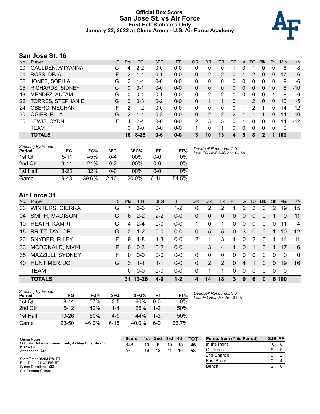### **Official Box Score San Jose St. vs Air Force First Half Statistics Only January 22, 2022 at Clune Arena - U.S. Air Force Academy**



# **San Jose St. 16**

| No. | Plaver                   | S | <b>Pts</b>    | <b>FG</b> | 3FG     | <b>FT</b> | <b>OR</b>     | <b>DR</b> | TR             | PF            | A | TO       | <b>Blk</b> | Stl | <b>Min</b> | $+/-$ |
|-----|--------------------------|---|---------------|-----------|---------|-----------|---------------|-----------|----------------|---------------|---|----------|------------|-----|------------|-------|
| 00  | GAULDEN, A'TYANNA        | G | 4             | $2 - 2$   | $0 - 0$ | $0-0$     | 0             | 0         | 0              |               | 0 |          | 0          | 0   | 8          | -8    |
| 01  | ROSS, DEJA               | F | 2             | $1 - 4$   | $0 - 1$ | $0 - 0$   | 0             | 2         | $\overline{2}$ | 0             |   | 2        | 0          | 0   | 17         | -6    |
| 02  | JONES, SOPHIA            | G | $\mathcal{P}$ | $1 - 4$   | $0 - 0$ | $0 - 0$   | 0             | 0         | 0              | 0             | 0 |          |            | 0   | 9          | -6    |
| 05  | <b>RICHARDS, SIDNEY</b>  | G | 0             | $0 - 1$   | $0 - 0$ | $0 - 0$   | 0             | 0         | 0              | $\Omega$      | 0 | 0        | 0          | 0   | 5          | $-10$ |
| 13  | MENDEZ, AUTAM            | G | 0             | $0 - 1$   | $0 - 1$ | $0 - 0$   | 0             | 2         | 2              |               | 0 | 0        | 0          | 1   | 8          | -6    |
| 22  | <b>TORRES, STEPHANIE</b> | G | $\Omega$      | $0 - 3$   | $0 - 2$ | $0 - 0$   | 0             |           |                | 0             |   | 2        | $\Omega$   | 0   | 10         | -5    |
| 24  | OBERG, MEGHAN            | F | 2             | $1 - 2$   | $0 - 0$ | $0 - 0$   | 0             | 0         | 0              | 0             |   | 2        |            | 0   | 14         | $-12$ |
| 30  | OGIER, ELLA              | G | 2             | $1 - 4$   | $0 - 2$ | $0 - 0$   | 0             | 2         | 2              | $\mathcal{P}$ |   | 1        |            | 0   | 14         | $-10$ |
| 35  | LEWIS, CYDNI             | F | 4             | 2-4       | $0 - 0$ | $0 - 0$   | $\mathcal{P}$ | 3         | 5              | 0             |   | 0        | 0          | 0   | 14         | $-12$ |
|     | <b>TEAM</b>              |   | 0             | $0 - 0$   | $0 - 0$ | $0 - 0$   | 1.            | $\Omega$  | 1              | $\Omega$      | 0 | $\Omega$ | 0          | 0   | 0          |       |
|     | <b>TOTALS</b>            |   | 16            | $8 - 25$  | $0 - 6$ | $0 - 0$   | 3             | 10        | 13             | 4             | 5 | 8        |            | 1   | 100        |       |

| <b>Shooting By Period</b><br>Period | FG       | FG%   | 3FG      | 3FG%   | FT   | FT%   | Deadball Rebounds: 2,0<br>Last FG Half: SJS 2nd-04:59 |
|-------------------------------------|----------|-------|----------|--------|------|-------|-------------------------------------------------------|
| 1st Qtr                             | $5 - 11$ | 45%   | 0-4      | 00%    | 0-0  | 0%    |                                                       |
| 2nd Qtr                             | $3 - 14$ | 21%   | $0 - 2$  | $00\%$ | 0-0  | 0%    |                                                       |
| 1st Half                            | $8 - 25$ | 32%   | 0-6      | $00\%$ | ი-ი  | 0%    |                                                       |
| Game                                | 19-48    | 39.6% | $2 - 10$ | 20.0%  | 6-11 | 54.5% |                                                       |

# **Air Force 31**

| No. | Plaver                 | S  | <b>Pts</b>    | <b>FG</b> | 3FG     | <b>FT</b> | <b>OR</b> | DR       | TR             | <b>PF</b> | $\mathsf{A}$ | TO       | <b>BIK</b> | Stl            | Min      | $+/-$          |
|-----|------------------------|----|---------------|-----------|---------|-----------|-----------|----------|----------------|-----------|--------------|----------|------------|----------------|----------|----------------|
| 03  | <b>WINTERS, CIERRA</b> | G  |               | 3-6       | $0 - 1$ | $1 - 2$   | 0         | 2        | 2              |           | 2            | 2        | 0          | $\overline{2}$ | 19       | 15             |
| 04  | <b>SMITH, MADISON</b>  | G  | 6             | $2 - 2$   | $2 - 2$ | $0 - 0$   | $\Omega$  | 0        | $\overline{0}$ | $\Omega$  | 0            | 0        | $\Omega$   |                | 9        | 11             |
| 10  | <b>HEATH, KAMRI</b>    | G  | 4             | $2 - 4$   | $0-0$   | $0-0$     |           | 0        |                | 0         | $\Omega$     | 0        | $\Omega$   | 0              | 11       | $\overline{4}$ |
| 15  | <b>BRITT, TAYLOR</b>   | G  | $\mathcal{P}$ | $1 - 2$   | $0 - 0$ | $0 - 0$   | $\Omega$  | 5        | 5              | $\Omega$  | 3            | $\Omega$ | $\Omega$   |                | 10       | 12             |
| 23  | <b>SNYDER, RILEY</b>   | F  | 9             | $4 - 8$   | $1 - 3$ | $0-0$     | 2         | 1        | 3              | 1         | 0            | 2        | $\Omega$   |                | 14       | -11            |
| 33  | MCDONALD, NIKKI        | F. | $\Omega$      | $0 - 3$   | $0 - 2$ | $0 - 0$   | 1         | 3        | 4              | 1         | $\Omega$     | 1        | $\Omega$   |                | 17       | - 6            |
| 35  | MAZZILLI, SYDNEY       | F  | 0             | $0 - 0$   | $0 - 0$ | $0-0$     | $\Omega$  | $\Omega$ | $\Omega$       | $\Omega$  | $\Omega$     | 0        | $\Omega$   | $\Omega$       | $\Omega$ | $\mathbf{0}$   |
| 40  | HUNTIMER, JO           | G  | 3             | $1 - 1$   | $1 - 1$ | $0-0$     | $\Omega$  | 2        | 2              | $\Omega$  | 4            |          | $\Omega$   | $\Omega$       | 19       | 16             |
|     | <b>TEAM</b>            |    | 0             | $0-0$     | $0 - 0$ | $0-0$     | $\Omega$  | 1        | 1              | $\Omega$  | $\Omega$     | 0        | $\Omega$   | $\Omega$       | 0        |                |
|     | <b>TOTALS</b>          |    | 31.           | $13 - 26$ | $4 - 9$ | $1 - 2$   |           | 14       | 18             | 3         | 9            | 6        | 0          |                | 6 100    |                |

| <b>Shooting By Period</b><br>Period | FG        | FG%   | 3FG     | 3FG%  | FT      | FT%   |
|-------------------------------------|-----------|-------|---------|-------|---------|-------|
| 1st Otr                             | $8 - 14$  | 57%   | 3-5     | 60%   | ი-ი     | $0\%$ |
| 2nd Qtr                             | $5 - 12$  | 42%   | $1 - 4$ | 25%   | $1 - 2$ | 50%   |
| 1st Half                            | $13 - 26$ | 50%   | 4-9     | 44%   | $1 - 2$ | 50%   |
| Game                                | 23-50     | 46.0% | հ-15    | 40.0% | հ.Գ     | 66.7% |

*Deadball Rebounds:* 3,0 *Last FG Half:* AF 2nd-01:07

| Game Notes:                                                   | <b>Score</b> | 1st l | 2nd | 3rd | 4th | <b>TOT</b> | <b>Points from (This Period)</b> | SJS AF |  |
|---------------------------------------------------------------|--------------|-------|-----|-----|-----|------------|----------------------------------|--------|--|
| Officials: Julie Krommenhoek, Ashley Ellis, Kevin<br>Kizewski | SJS          | 10    |     | 15  | 15  | 46         | In the Paint                     | 16     |  |
| Attendance: 241                                               | AF           | 19    |     |     | 16  | 58         | Off Turns                        |        |  |
|                                                               |              |       |     |     |     |            | 2nd Chance                       |        |  |
| Start Time: 05:04 PM ET<br>End Time: 06:37 PM ET              |              |       |     |     |     |            | Fast Break                       |        |  |
| Game Duration: 1:32<br>Conference Game;                       |              |       |     |     |     |            | Bench                            |        |  |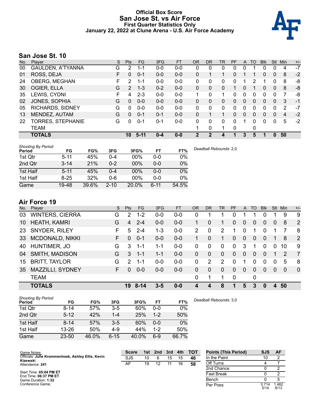### **Official Box Score San Jose St. vs Air Force First Quarter Statistics Only January 22, 2022 at Clune Arena - U.S. Air Force Academy**



# **San Jose St. 10**

| No. | Plaver                   | S  | <b>Pts</b>    | FG      | 3FG     | <b>FT</b> | <b>OR</b> | DR | TR | <b>PF</b> | A        | TO           | <b>B</b> lk | Stl          | Min | $+/-$ |
|-----|--------------------------|----|---------------|---------|---------|-----------|-----------|----|----|-----------|----------|--------------|-------------|--------------|-----|-------|
| 00  | <b>GAULDEN, A'TYANNA</b> | G  | 2             | 1-1     | $0 - 0$ | $0-0$     | 0         | 0  | 0  | 0         | 0        |              | 0           | 0            | 4   | $-7$  |
| 01  | ROSS, DEJA               | F  | $\Omega$      | $0 - 1$ | $0 - 0$ | $0 - 0$   | $\Omega$  |    |    | 0         |          |              | $\Omega$    | $\mathbf{0}$ | 8   | -2    |
| 24  | OBERG, MEGHAN            | F. | 2             | $1 - 1$ | $0 - 0$ | $0-0$     | $\Omega$  | 0  | 0  | $\Omega$  |          | 2            | 1           | $\Omega$     | 8   | -8    |
| 30  | OGIER, ELLA              | G  | $\mathcal{P}$ | $1 - 3$ | $0 - 2$ | $0 - 0$   | $\Omega$  | 0  | 0  |           | 0        |              | $\Omega$    | $\Omega$     | 8   | -8    |
| 35  | LEWIS, CYDNI             | F  | 4             | $2 - 3$ | $0-0$   | $0-0$     | 1         | 0  | 1  | U.        | 0        | <sup>0</sup> | $\Omega$    | 0            | 7   | -8    |
| 02  | JONES, SOPHIA            | G  | 0             | $0 - 0$ | $0 - 0$ | $0 - 0$   | 0         | 0  | 0  | 0         | 0        | 0            | 0           | $\mathbf{0}$ | 3   | $-1$  |
| 05  | <b>RICHARDS, SIDNEY</b>  | G  | 0             | $0 - 0$ | $0 - 0$ | $0 - 0$   | $\Omega$  | 0  | 0  | 0         | 0        | 0            | 0           | 0            | 2   | $-7$  |
| 13  | MENDEZ, AUTAM            | G  | $\Omega$      | $0 - 1$ | $0 - 1$ | $0 - 0$   | $\Omega$  |    |    | 0         | $\Omega$ | 0            | $\Omega$    | $\mathbf{0}$ | 4   | $-2$  |
| 22  | TORRES, STEPHANIE        | G  | 0             | $0 - 1$ | $0 - 1$ | $0 - 0$   | $\Omega$  | 0  | 0  | $\Omega$  |          | 0            | $\Omega$    | $\Omega$     | 5   | $-2$  |
|     | <b>TEAM</b>              |    |               |         |         |           |           | 0  | 1  | $\Omega$  |          | 0            |             |              |     |       |
|     | <b>TOTALS</b>            |    | 10            | $5-11$  | $0 - 4$ | $0 - 0$   | 2         | 2  | 4  | 1         | 3        | 5            |             | $\Omega$     | 50  |       |

| <b>Shooting By Period</b><br>Period | FG       | FG%   | 3FG      | 3FG%   | FT       | FT%   | Deadball Rebounds: 2,0 |
|-------------------------------------|----------|-------|----------|--------|----------|-------|------------------------|
| 1st Qtr                             | $5 - 11$ | 45%   | 0-4      | 00%    | $0 - 0$  | 0%    |                        |
| 2nd Qtr                             | $3 - 14$ | 21%   | 0-2      | $00\%$ | $0 - 0$  | 0%    |                        |
| 1st Half                            | $5 - 11$ | 45%   | $0 - 4$  | 00%    | 0-0      | 0%    |                        |
| 1st Half                            | $8 - 25$ | 32%   | 0-6      | 00%    | 0-0      | 0%    |                        |
| Game                                | 19-48    | 39.6% | $2 - 10$ | 20.0%  | $6 - 11$ | 54.5% |                        |

# **Air Force 19**

| No. | Player                 | S. | <b>Pts</b> | FG       | 3FG     | <b>FT</b> | <b>OR</b> | <b>DR</b>    | TR            | PF          | $\mathsf{A}$   | TO          | <b>Blk</b> | Stl            | Min      | $+/-$          |
|-----|------------------------|----|------------|----------|---------|-----------|-----------|--------------|---------------|-------------|----------------|-------------|------------|----------------|----------|----------------|
| 03  | <b>WINTERS, CIERRA</b> | G  | 2          | $1 - 2$  | $0 - 0$ | $0-0$     | 0         |              |               | 0           |                |             | 0          |                | 9        | 9              |
| 10  | <b>HEATH, KAMRI</b>    | G  | 4          | $2 - 4$  | $0-0$   | $0 - 0$   |           | $\Omega$     |               | 0           | 0              | $\Omega$    | 0          | $\overline{0}$ | 8        | 2              |
| -23 | <b>SNYDER, RILEY</b>   | F  | 5          | $2 - 4$  | $1 - 3$ | $0-0$     | 2         | 0            | 2             |             | $\Omega$       |             | $\Omega$   |                |          | -8             |
| 33  | MCDONALD, NIKKI        | F. | 0          | $0 - 1$  | $0-0$   | $0 - 0$   |           | $\mathbf{0}$ |               | $\Omega$    | $\overline{0}$ | $\Omega$    | 0          |                | 8        | 2              |
| 40  | HUNTIMER, JO           | G  | 3          | $1 - 1$  | 1-1     | $0 - 0$   | $\Omega$  | $\Omega$     | $\Omega$      | $\Omega$    | 3              |             | $\Omega$   | 0              | 10       | 9              |
| 04  | SMITH, MADISON         | G  | 3          | $1 - 1$  | 1-1     | $0-0$     | 0         | 0            | $\Omega$      | $\Omega$    | 0              | $\Omega$    | 0          |                | 2        | $\overline{7}$ |
| 15  | <b>BRITT, TAYLOR</b>   | G  | 2          | $1 - 1$  | $0-0$   | $0 - 0$   | 0         | 2            | $\mathcal{P}$ | $\Omega$    |                | $\Omega$    | $\Omega$   | 0              | 5        | -8             |
| 35  | MAZZILLI, SYDNEY       | F. | 0          | $0 - 0$  | $0 - 0$ | $0 - 0$   | 0         | $\Omega$     | $\Omega$      | $\Omega$    | 0              | $\Omega$    | $\Omega$   | $\Omega$       | $\Omega$ | $\overline{0}$ |
|     | <b>TEAM</b>            |    |            |          |         |           | 0         |              |               | $\mathbf 0$ |                | $\mathbf 0$ |            |                |          |                |
|     | <b>TOTALS</b>          |    | 19         | $8 - 14$ | 3-5     | $0 - 0$   | 4         | 4            | 8             |             | 5              | 3           | 0          |                | 50       |                |

| <b>Shooting By Period</b><br>Period | FG        | FG%   | 3FG      | 3FG%  | FT      | FT%   | Deadball Rebounds: 3,0 |
|-------------------------------------|-----------|-------|----------|-------|---------|-------|------------------------|
| 1st Qtr                             | $8 - 14$  | 57%   | $3 - 5$  | 60%   | $0 - 0$ | $0\%$ |                        |
| 2nd Qtr                             | $5 - 12$  | 42%   | $1 - 4$  | 25%   | $1 - 2$ | 50%   |                        |
| 1st Half                            | $8 - 14$  | 57%   | $3 - 5$  | 60%   | $0 - 0$ | 0%    |                        |
| 1st Half                            | 13-26     | 50%   | $4-9$    | 44%   | $1 - 2$ | 50%   |                        |
| Game                                | $23 - 50$ | 46.0% | $6 - 15$ | 40.0% | $6-9$   | 66.7% |                        |

| Game Notes:                                                   | <b>Score</b> | 1st l | 2nd | 3rd | 4th | <b>TOT</b> | <b>Points (This Period)</b> | <b>SJS</b>    | AF            |
|---------------------------------------------------------------|--------------|-------|-----|-----|-----|------------|-----------------------------|---------------|---------------|
| Officials: Julie Krommenhoek, Ashley Ellis, Kevin<br>Kizewski | SJS          | 10    |     | 15  | 15  | 46         | In the Paint                |               |               |
| Attendance: 241                                               | AF           | 19    |     |     | 16  | 58         | Off Turns                   |               |               |
|                                                               |              |       |     |     |     |            | 2nd Chance                  |               |               |
| Start Time: 05:04 PM ET<br>End Time: 06:37 PM ET              |              |       |     |     |     |            | <b>Fast Break</b>           |               |               |
| Game Duration: 1:32                                           |              |       |     |     |     |            | Bench                       |               |               |
| Conference Game:                                              |              |       |     |     |     |            | Per Poss                    | 0.714<br>5/14 | l.462<br>8/13 |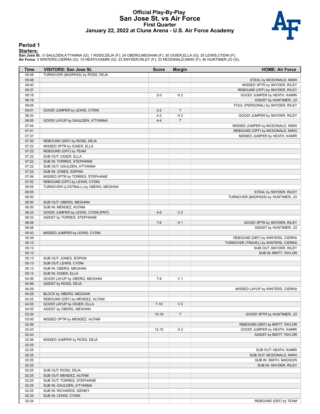#### **Official Play-By-Play San Jose St. vs Air Force First Quarter January 22, 2022 at Clune Arena - U.S. Air Force Academy**



#### **Period 1**

#### **Starters:**

**San Jose St.**: 0 GAULDEN,A'TYANNA (G); 1 ROSS,DEJA (F); 24 OBERG,MEGHAN (F); 30 OGIER,ELLA (G); 35 LEWIS,CYDNI (F);<br>**Air Force**: 3 WINTERS,CIERRA (G); 10 HEATH,KAMRI (G); 23 SNYDER,RILEY (F); 33 MCDONALD,NIKKI (F); 40 HUN

| Time           | <b>VISITORS: San Jose St.</b>                                | <b>Score</b>       | <b>Margin</b>        | <b>HOME: Air Force</b>               |
|----------------|--------------------------------------------------------------|--------------------|----------------------|--------------------------------------|
| 09:48          | TURNOVER (BADPASS) by ROSS, DEJA                             |                    |                      |                                      |
| 09:48          |                                                              |                    |                      | STEAL by MCDONALD, NIKKI             |
| 09:40          |                                                              |                    |                      | MISSED 3PTR by SNYDER, RILEY         |
| 09:37          |                                                              |                    |                      | REBOUND (OFF) by SNYDER, RILEY       |
| 09:18          |                                                              | $2 - 0$            | H <sub>2</sub>       | GOOD! JUMPER by HEATH, KAMRI         |
| 09:18          |                                                              |                    |                      | ASSIST by HUNTIMER, JO               |
| 09:05          |                                                              |                    |                      | FOUL (PERSONAL) by SNYDER, RILEY     |
| 09:01          | GOOD! JUMPER by LEWIS, CYDNI                                 | $2 - 2$            | $\mathsf{T}$         |                                      |
| 08:32<br>08:05 |                                                              | $4 - 2$<br>$4 - 4$ | H <sub>2</sub><br>T. | GOOD! JUMPER by SNYDER, RILEY        |
| 07:44          | GOOD! LAYUP by GAULDEN, A'TYANNA                             |                    |                      | MISSED JUMPER by MCDONALD, NIKKI     |
| 07:41          |                                                              |                    |                      | REBOUND (OFF) by MCDONALD, NIKKI     |
| 07:37          |                                                              |                    |                      | MISSED JUMPER by HEATH, KAMRI        |
| 07:30          | REBOUND (DEF) by ROSS, DEJA                                  |                    |                      |                                      |
| 07:23          | MISSED 3PTR by OGIER, ELLA                                   |                    |                      |                                      |
| 07:22          | REBOUND (OFF) by TEAM                                        |                    |                      |                                      |
| 07:22          | SUB OUT: OGIER, ELLA                                         |                    |                      |                                      |
| 07:22          | SUB IN: TORRES, STEPHANIE                                    |                    |                      |                                      |
| 07:22          | SUB OUT: GAULDEN, A'TYANNA                                   |                    |                      |                                      |
| 07:22          | SUB IN: JONES, SOPHIA                                        |                    |                      |                                      |
| 07:06          | MISSED 3PTR by TORRES, STEPHANIE                             |                    |                      |                                      |
| 07:02          | REBOUND (OFF) by LEWIS, CYDNI                                |                    |                      |                                      |
| 06:55          | TURNOVER (LOSTBALL) by OBERG, MEGHAN                         |                    |                      |                                      |
| 06:55          |                                                              |                    |                      | STEAL by SNYDER, RILEY               |
| 06:50          |                                                              |                    |                      | TURNOVER (BADPASS) by HUNTIMER, JO   |
| 06:50          | SUB OUT: OBERG, MEGHAN                                       |                    |                      |                                      |
| 06:50          | SUB IN: MENDEZ, AUTAM<br>GOOD! JUMPER by LEWIS, CYDNI [PNT]  | $4 - 6$            | V <sub>2</sub>       |                                      |
| 06:33<br>06:33 | ASSIST by TORRES, STEPHANIE                                  |                    |                      |                                      |
| 06:08          |                                                              | $7 - 6$            | H <sub>1</sub>       | GOOD! 3PTR by SNYDER, RILEY          |
| 06:08          |                                                              |                    |                      | ASSIST by HUNTIMER, JO               |
| 05:43          | MISSED JUMPER by LEWIS, CYDNI                                |                    |                      |                                      |
| 05:39          |                                                              |                    |                      | REBOUND (DEF) by WINTERS, CIERRA     |
| 05:13          |                                                              |                    |                      | TURNOVER (TRAVEL) by WINTERS, CIERRA |
| 05:13          |                                                              |                    |                      | SUB OUT: SNYDER, RILEY               |
| 05:13          |                                                              |                    |                      | SUB IN: BRITT, TAYLOR                |
| 05:13          | SUB OUT: JONES, SOPHIA                                       |                    |                      |                                      |
| 05:13          | SUB OUT: LEWIS, CYDNI                                        |                    |                      |                                      |
| 05:13          | SUB IN: OBERG, MEGHAN                                        |                    |                      |                                      |
| 05:13          | SUB IN: OGIER, ELLA                                          |                    |                      |                                      |
| 04:56          | GOOD! LAYUP by OBERG, MEGHAN                                 | $7 - 8$            | V <sub>1</sub>       |                                      |
| 04:56          | ASSIST by ROSS, DEJA                                         |                    |                      |                                      |
| 04:29          |                                                              |                    |                      | MISSED LAYUP by WINTERS, CIERRA      |
| 04:29<br>04:25 | BLOCK by OBERG, MEGHAN                                       |                    |                      |                                      |
| 04:05          | REBOUND (DEF) by MENDEZ, AUTAM<br>GOOD! LAYUP by OGIER, ELLA | $7 - 10$           | $V_3$                |                                      |
| 04:05          | ASSIST by OBERG, MEGHAN                                      |                    |                      |                                      |
| 03:34          |                                                              | $10 - 10$          | $\top$               | GOOD! 3PTR by HUNTIMER, JO           |
| 03:00          | MISSED 3PTR by MENDEZ, AUTAM                                 |                    |                      |                                      |
| 02:56          |                                                              |                    |                      | REBOUND (DEF) by BRITT, TAYLOR       |
| 02:43          |                                                              | $12 - 10$          | H 2                  | GOOD! JUMPER by HEATH, KAMRI         |
| 02:43          |                                                              |                    |                      | ASSIST by BRITT, TAYLOR              |
| 02:26          | MISSED JUMPER by ROSS, DEJA                                  |                    |                      |                                      |
| 02:25          |                                                              |                    |                      |                                      |
| 02:25          |                                                              |                    |                      | SUB OUT: HEATH, KAMRI                |
| 02:25          |                                                              |                    |                      | SUB OUT: MCDONALD, NIKKI             |
| 02:25          |                                                              |                    |                      | SUB IN: SMITH, MADISON               |
| 02:25          |                                                              |                    |                      | SUB IN: SNYDER, RILEY                |
| 02:25          | SUB OUT: ROSS, DEJA                                          |                    |                      |                                      |
| 02:25          | SUB OUT: MENDEZ, AUTAM                                       |                    |                      |                                      |
| 02:25          | SUB OUT: TORRES, STEPHANIE                                   |                    |                      |                                      |
| 02:25<br>02:25 | SUB IN: GAULDEN, A'TYANNA                                    |                    |                      |                                      |
| 02:25          | SUB IN: RICHARDS, SIDNEY<br>SUB IN: LEWIS, CYDNI             |                    |                      |                                      |
| 02:24          |                                                              |                    |                      | REBOUND (DEF) by TEAM                |
|                |                                                              |                    |                      |                                      |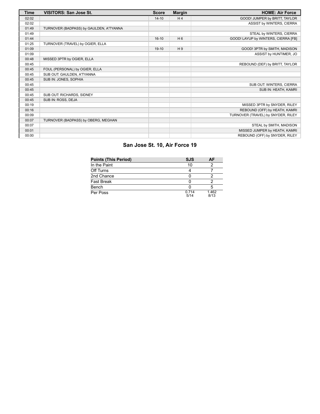| <b>Time</b> | <b>VISITORS: San Jose St.</b>           | <b>Score</b> | <b>Margin</b>  | <b>HOME: Air Force</b>              |
|-------------|-----------------------------------------|--------------|----------------|-------------------------------------|
| 02:02       |                                         | $14 - 10$    | H <sub>4</sub> | GOOD! JUMPER by BRITT, TAYLOR       |
| 02:02       |                                         |              |                | ASSIST by WINTERS, CIERRA           |
| 01:49       | TURNOVER (BADPASS) by GAULDEN, A'TYANNA |              |                |                                     |
| 01:49       |                                         |              |                | STEAL by WINTERS, CIERRA            |
| 01:44       |                                         | $16-10$      | $H_6$          | GOOD! LAYUP by WINTERS, CIERRA [FB] |
| 01:25       | TURNOVER (TRAVEL) by OGIER, ELLA        |              |                |                                     |
| 01:09       |                                         | $19-10$      | H9             | GOOD! 3PTR by SMITH, MADISON        |
| 01:09       |                                         |              |                | ASSIST by HUNTIMER, JO              |
| 00:48       | MISSED 3PTR by OGIER, ELLA              |              |                |                                     |
| 00:45       |                                         |              |                | REBOUND (DEF) by BRITT, TAYLOR      |
| 00:45       | FOUL (PERSONAL) by OGIER, ELLA          |              |                |                                     |
| 00:45       | SUB OUT: GAULDEN, A'TYANNA              |              |                |                                     |
| 00:45       | SUB IN: JONES, SOPHIA                   |              |                |                                     |
| 00:45       |                                         |              |                | SUB OUT: WINTERS, CIERRA            |
| 00:45       |                                         |              |                | SUB IN: HEATH, KAMRI                |
| 00:45       | SUB OUT: RICHARDS, SIDNEY               |              |                |                                     |
| 00:45       | SUB IN: ROSS, DEJA                      |              |                |                                     |
| 00:19       |                                         |              |                | MISSED 3PTR by SNYDER, RILEY        |
| 00:16       |                                         |              |                | REBOUND (OFF) by HEATH, KAMRI       |
| 00:09       |                                         |              |                | TURNOVER (TRAVEL) by SNYDER, RILEY  |
| 00:07       | TURNOVER (BADPASS) by OBERG, MEGHAN     |              |                |                                     |
| 00:07       |                                         |              |                | STEAL by SMITH, MADISON             |
| 00:01       |                                         |              |                | MISSED JUMPER by HEATH, KAMRI       |
| 00:00       |                                         |              |                | REBOUND (OFF) by SNYDER, RILEY      |

# **San Jose St. 10, Air Force 19**

| <b>Points (This Period)</b> | <b>SJS</b>    | ΑF            |
|-----------------------------|---------------|---------------|
| In the Paint                | 10            |               |
| Off Turns                   |               |               |
| 2nd Chance                  |               |               |
| <b>Fast Break</b>           |               |               |
| Bench                       |               |               |
| Per Poss                    | 0.714<br>5/14 | 1.462<br>8/13 |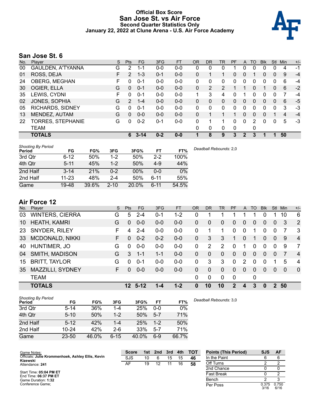### **Official Box Score San Jose St. vs Air Force Second Quarter Statistics Only January 22, 2022 at Clune Arena - U.S. Air Force Academy**



# **San Jose St. 6**

| No. | Plaver                   | S | <b>Pts</b>    | FG       | 3FG     | <b>FT</b> | <b>OR</b> | DR            | TR | <b>PF</b> | A              | TO       | <b>B</b> lk | Stl          | Min | $+/-$ |
|-----|--------------------------|---|---------------|----------|---------|-----------|-----------|---------------|----|-----------|----------------|----------|-------------|--------------|-----|-------|
| 00  | <b>GAULDEN, A'TYANNA</b> | G | 2             | 1-1      | $0 - 0$ | $0-0$     | 0         | 0             | 0  |           | 0              | 0        | 0           | 0            | 4   | $-1$  |
| 01  | ROSS, DEJA               | F | $\mathcal{P}$ | $1 - 3$  | $0 - 1$ | $0 - 0$   | $\Omega$  |               |    | 0         | 0              |          | 0           | $\mathbf{0}$ | 9   | $-4$  |
| 24  | OBERG, MEGHAN            | F | 0             | $0 - 1$  | $0 - 0$ | $0 - 0$   | $\Omega$  | $\Omega$      | 0  | $\Omega$  | 0              | 0        | $\Omega$    | $\Omega$     | 6   | -4    |
| 30  | OGIER, ELLA              | G | $\Omega$      | $0 - 1$  | $0 - 0$ | $0 - 0$   | $\Omega$  | $\mathcal{P}$ | 2  |           |                | $\Omega$ | 1           | $\Omega$     | 6   | $-2$  |
| 35  | LEWIS, CYDNI             | F | 0             | $0 - 1$  | $0-0$   | $0-0$     | 1         | 3             | 4  | 0         |                | U        | 0           | 0            | 7   | -4    |
| 02  | JONES, SOPHIA            | G | $\mathcal{P}$ | $1 - 4$  | $0 - 0$ | $0 - 0$   | 0         | 0             | 0  | 0         | 0              | 0        | 0           | $\mathbf{0}$ | 6   | $-5$  |
| 05  | <b>RICHARDS, SIDNEY</b>  | G | 0             | $0 - 1$  | $0 - 0$ | $0-0$     | $\Omega$  | 0             | 0  | 0         | 0              | 0        | 0           | 0            | 3   | -3    |
| 13  | MENDEZ, AUTAM            | G | $\Omega$      | $0 - 0$  | $0 - 0$ | $0 - 0$   | 0         |               |    |           | 0              | 0        | 0           |              | 4   | $-4$  |
| 22  | TORRES, STEPHANIE        | G | 0             | $0 - 2$  | $0 - 1$ | $0 - 0$   | $\Omega$  |               |    | 0         | $\Omega$       | 2        | 0           | $\Omega$     | 5   | $-3$  |
|     | <b>TEAM</b>              |   |               |          |         |           | $\Omega$  | $\mathbf{0}$  | 0  | $\Omega$  |                | 0        |             |              |     |       |
|     | <b>TOTALS</b>            |   | 6.            | $3 - 14$ | $0 - 2$ | $0 - 0$   |           | 8             | 9  | 3         | $\overline{2}$ | 3        |             | 1            | 50  |       |

| <b>Shooting By Period</b><br>Period | FG        | FG%   | 3FG      | 3FG%   | FT       | FT%   | Deadball Rebounds: 2,0 |
|-------------------------------------|-----------|-------|----------|--------|----------|-------|------------------------|
| 3rd Qtr                             | $6 - 12$  | 50%   | $1 - 2$  | 50%    | $2 - 2$  | 100%  |                        |
| 4th Qtr                             | $5 - 11$  | 45%   | $1-2$    | 50%    | $4-9$    | 44%   |                        |
| 2nd Half                            | $3 - 14$  | 21%   | $0 - 2$  | $00\%$ | $0 - 0$  | 0%    |                        |
| 2nd Half                            | $11 - 23$ | 48%   | $2 - 4$  | 50%    | $6 - 11$ | 55%   |                        |
| Game                                | 19-48     | 39.6% | $2 - 10$ | 20.0%  | $6 - 11$ | 54.5% |                        |

# **Air Force 12**

| No. | Player                 | S. | <b>Pts</b>      | <b>FG</b> | 3FG     | <b>FT</b> | <b>OR</b> | DR       | TR            | PF       | A | TO       | <b>Blk</b> | Stl            | Min      | $+/-$          |
|-----|------------------------|----|-----------------|-----------|---------|-----------|-----------|----------|---------------|----------|---|----------|------------|----------------|----------|----------------|
| 03  | <b>WINTERS, CIERRA</b> | G  | 5               | $2 - 4$   | $0 - 1$ | $1 - 2$   | 0         |          |               |          |   |          | 0          |                | 10       | 6              |
| 10  | <b>HEATH, KAMRI</b>    | G  | $\Omega$        | $0 - 0$   | $0 - 0$ | $0-0$     | 0         | 0        | $\mathbf{0}$  | $\Omega$ | 0 | $\Omega$ | 0          | 0              | 3        | 2              |
| -23 | <b>SNYDER, RILEY</b>   | F  | 4               | $2 - 4$   | $0-0$   | $0-0$     | 0         |          |               | $\Omega$ | 0 |          | 0          | 0              | 7        | -3             |
| 33  | <b>MCDONALD, NIKKI</b> | F. | $\Omega$        | $0 - 2$   | $0 - 2$ | $0-0$     | $\Omega$  | 3        | 3             | 1        | 0 |          | 0          | $\overline{0}$ | -9       | $\overline{4}$ |
| 40  | HUNTIMER, JO           | G  | $\Omega$        | $0 - 0$   | $0-0$   | $0-0$     | 0         | 2        | $\mathcal{P}$ | 0        | 1 | $\Omega$ | $\Omega$   | $\Omega$       | 9        | $\overline{7}$ |
| 04  | SMITH, MADISON         | G  | 3               | $1 - 1$   | $1 - 1$ | $0-0$     | 0         | $\Omega$ | $\Omega$      | $\Omega$ | 0 | $\Omega$ | $\Omega$   | $\Omega$       |          | $\overline{4}$ |
| 15  | <b>BRITT, TAYLOR</b>   | G  | $\Omega$        | $0 - 1$   | $0 - 0$ | $0-0$     | 0         | 3        | 3             | $\Omega$ | 2 | $\Omega$ | $\Omega$   |                | 5        | 4              |
| 35. | MAZZILLI, SYDNEY       | F. | $\Omega$        | $0 - 0$   | $0 - 0$ | $0-0$     | 0         | $\Omega$ | $\Omega$      | $\Omega$ | 0 | $\Omega$ | $\Omega$   | $\Omega$       | $\Omega$ | $\Omega$       |
|     | <b>TEAM</b>            |    |                 |           |         |           | 0         | 0        | $\Omega$      | $\Omega$ |   | 0        |            |                |          |                |
|     | <b>TOTALS</b>          |    | 12 <sup>°</sup> | 5-12      |         | $1 - 2$   | 0         | 10       | 10            | 2        | 4 | 3        | 0          | 2              | 50       |                |

| <b>Shooting By Period</b><br>Period | FG        | FG%   | 3FG      | 3FG%  | FT      | FT%   | Deadball Rebounds: 3,0 |
|-------------------------------------|-----------|-------|----------|-------|---------|-------|------------------------|
| 3rd Qtr                             | $5 - 14$  | 36%   | 1-4      | 25%   | $0 - 0$ | 0%    |                        |
| 4th Qtr                             | $5 - 10$  | 50%   | $1 - 2$  | 50%   | $5 - 7$ | 71%   |                        |
| 2nd Half                            | $5 - 12$  | 42%   | 1-4      | 25%   | $1-2$   | 50%   |                        |
| 2nd Half                            | $10 - 24$ | 42%   | $2-6$    | 33%   | $5 - 7$ | 71%   |                        |
| Game                                | $23 - 50$ | 46.0% | $6 - 15$ | 40.0% | $6-9$   | 66.7% |                        |

| Game Notes:                                                   | <b>Score</b> | 1st l | 2nd | 3rd | 4th | <b>TOT</b> | <b>Points (This Period)</b> | SJS           | AF            |
|---------------------------------------------------------------|--------------|-------|-----|-----|-----|------------|-----------------------------|---------------|---------------|
| Officials: Julie Krommenhoek, Ashley Ellis, Kevin<br>Kizewski | SJS          | 10    |     | 15  | 15  | 46         | In the Paint                |               |               |
| Attendance: 241                                               | AF           | 19    |     |     | 16  | 58         | Off Turns                   |               |               |
|                                                               |              |       |     |     |     |            | 2nd Chance                  |               |               |
| Start Time: 05:04 PM ET<br>End Time: 06:37 PM ET              |              |       |     |     |     |            | <b>Fast Break</b>           |               |               |
| Game Duration: 1:32                                           |              |       |     |     |     |            | Bench                       |               |               |
| Conference Game:                                              |              |       |     |     |     |            | Per Poss                    | 0.375<br>3/16 | 0.750<br>6/16 |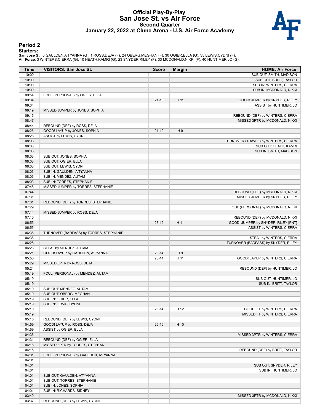### **Official Play-By-Play San Jose St. vs Air Force Second Quarter January 22, 2022 at Clune Arena - U.S. Air Force Academy**



#### **Period 2**

#### **Starters:**

**San Jose St.**: 0 GAULDEN,A'TYANNA (G); 1 ROSS,DEJA (F); 24 OBERG,MEGHAN (F); 30 OGIER,ELLA (G); 35 LEWIS,CYDNI (F);<br>**Air Force**: 3 WINTERS,CIERRA (G); 10 HEATH,KAMRI (G); 23 SNYDER,RILEY (F); 33 MCDONALD,NIKKI (F); 40 HUN

| Time           | <b>VISITORS: San Jose St.</b>           | <b>Score</b> | <b>Margin</b>  | <b>HOME: Air Force</b>               |
|----------------|-----------------------------------------|--------------|----------------|--------------------------------------|
| 10:00          |                                         |              |                | SUB OUT: SMITH, MADISON              |
| 10:00          |                                         |              |                | SUB OUT: BRITT, TAYLOR               |
| 10:00          |                                         |              |                | SUB IN: WINTERS, CIERRA              |
| 10:00          |                                         |              |                | SUB IN: MCDONALD, NIKKI              |
| 09:54          | FOUL (PERSONAL) by OGIER, ELLA          |              |                |                                      |
| 09:34          |                                         | $21-10$      | H 11           | GOOD! JUMPER by SNYDER, RILEY        |
| 09:34          |                                         |              |                | ASSIST by HUNTIMER, JO               |
|                |                                         |              |                |                                      |
| 09:19<br>09:15 | MISSED JUMPER by JONES, SOPHIA          |              |                |                                      |
|                |                                         |              |                | REBOUND (DEF) by WINTERS, CIERRA     |
| 08:47          |                                         |              |                | MISSED 3PTR by MCDONALD, NIKKI       |
| 08:44          | REBOUND (DEF) by ROSS, DEJA             |              |                |                                      |
| 08:26          | GOOD! LAYUP by JONES, SOPHIA            | $21 - 12$    | H9             |                                      |
| 08:26          | ASSIST by LEWIS, CYDNI                  |              |                |                                      |
| 08:03          |                                         |              |                | TURNOVER (TRAVEL) by WINTERS, CIERRA |
| 08:03          |                                         |              |                | SUB OUT: HEATH, KAMRI                |
| 08:03          |                                         |              |                | SUB IN: SMITH, MADISON               |
| 08:03          | SUB OUT: JONES, SOPHIA                  |              |                |                                      |
| 08:03          | SUB OUT: OGIER, ELLA                    |              |                |                                      |
| 08:03          | SUB OUT: LEWIS, CYDNI                   |              |                |                                      |
| 08:03          | SUB IN: GAULDEN, A'TYANNA               |              |                |                                      |
| 08:03          | SUB IN: MENDEZ, AUTAM                   |              |                |                                      |
| 08:03          | SUB IN: TORRES, STEPHANIE               |              |                |                                      |
| 07:48          | MISSED JUMPER by TORRES, STEPHANIE      |              |                |                                      |
| 07:44          |                                         |              |                | REBOUND (DEF) by MCDONALD, NIKKI     |
| 07:31          |                                         |              |                | MISSED JUMPER by SNYDER, RILEY       |
| 07:31          | REBOUND (DEF) by TORRES, STEPHANIE      |              |                |                                      |
| 07:29          |                                         |              |                | FOUL (PERSONAL) by MCDONALD, NIKKI   |
| 07:14          | MISSED JUMPER by ROSS, DEJA             |              |                |                                      |
| 07:10          |                                         |              |                | REBOUND (DEF) by MCDONALD, NIKKI     |
| 06:55          |                                         | $23-12$      | H 11           | GOOD! JUMPER by SNYDER, RILEY [PNT]  |
| 06:55          |                                         |              |                | ASSIST by WINTERS, CIERRA            |
| 06:36          | TURNOVER (BADPASS) by TORRES, STEPHANIE |              |                |                                      |
| 06:36          |                                         |              |                | STEAL by WINTERS, CIERRA             |
| 06:28          |                                         |              |                | TURNOVER (BADPASS) by SNYDER, RILEY  |
| 06:28          | STEAL by MENDEZ, AUTAM                  |              |                |                                      |
| 06:21          | GOOD! LAYUP by GAULDEN, A'TYANNA        | $23 - 14$    | H <sub>9</sub> |                                      |
| 05:50          |                                         | $25 - 14$    | H 11           | GOOD! LAYUP by WINTERS, CIERRA       |
| 05:29          | MISSED 3PTR by ROSS, DEJA               |              |                |                                      |
| 05:24          |                                         |              |                | REBOUND (DEF) by HUNTIMER, JO        |
| 05:19          | FOUL (PERSONAL) by MENDEZ, AUTAM        |              |                |                                      |
| 05:19          |                                         |              |                | SUB OUT: HUNTIMER, JO                |
| 05:19          |                                         |              |                | SUB IN: BRITT, TAYLOR                |
| 05:19          | SUB OUT: MENDEZ, AUTAM                  |              |                |                                      |
| 05:19          | SUB OUT: OBERG, MEGHAN                  |              |                |                                      |
|                | SUB IN: OGIER, ELLA                     |              |                |                                      |
| 05:19          |                                         |              |                |                                      |
| 05:19          | SUB IN: LEWIS, CYDNI                    |              |                |                                      |
| 05:19          |                                         | $26-14$      | H 12           | GOOD! FT by WINTERS, CIERRA          |
| 05:19          |                                         |              |                | MISSED FT by WINTERS, CIERRA         |
| 05:15          | REBOUND (DEF) by LEWIS, CYDNI           |              |                |                                      |
| 04:59          | GOOD! LAYUP by ROSS, DEJA               | $26-16$      | H 10           |                                      |
| 04:59          | ASSIST by OGIER, ELLA                   |              |                |                                      |
| 04:36          |                                         |              |                | MISSED 3PTR by WINTERS, CIERRA       |
| 04:31          | REBOUND (DEF) by OGIER, ELLA            |              |                |                                      |
| 04:18          | MISSED 3PTR by TORRES, STEPHANIE        |              |                |                                      |
| 04:15          |                                         |              |                | REBOUND (DEF) by BRITT, TAYLOR       |
| 04:01          | FOUL (PERSONAL) by GAULDEN, A'TYANNA    |              |                |                                      |
| 04:01          |                                         |              |                |                                      |
| 04:01          |                                         |              |                | SUB OUT: SNYDER, RILEY               |
| 04:01          |                                         |              |                | SUB IN: HUNTIMER, JO                 |
| 04:01          | SUB OUT: GAULDEN, A'TYANNA              |              |                |                                      |
| 04:01          | SUB OUT: TORRES, STEPHANIE              |              |                |                                      |
| 04:01          | SUB IN: JONES, SOPHIA                   |              |                |                                      |
| 04:01          | SUB IN: RICHARDS, SIDNEY                |              |                |                                      |
| 03:40          |                                         |              |                | MISSED 3PTR by MCDONALD, NIKKI       |
| 03:37          | REBOUND (DEF) by LEWIS, CYDNI           |              |                |                                      |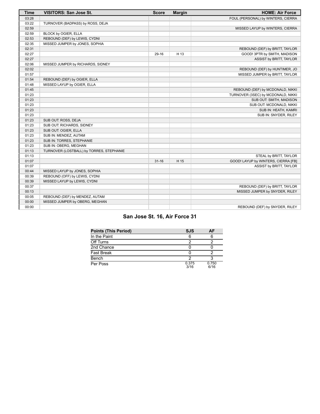| <b>Time</b> | <b>VISITORS: San Jose St.</b>            | <b>Score</b> | <b>Margin</b> | <b>HOME: Air Force</b>              |
|-------------|------------------------------------------|--------------|---------------|-------------------------------------|
| 03:28       |                                          |              |               | FOUL (PERSONAL) by WINTERS, CIERRA  |
| 03:22       | TURNOVER (BADPASS) by ROSS, DEJA         |              |               |                                     |
| 02:59       |                                          |              |               | MISSED LAYUP by WINTERS, CIERRA     |
| 02:59       | BLOCK by OGIER, ELLA                     |              |               |                                     |
| 02:53       | REBOUND (DEF) by LEWIS, CYDNI            |              |               |                                     |
| 02:35       | MISSED JUMPER by JONES, SOPHIA           |              |               |                                     |
| 02:31       |                                          |              |               | REBOUND (DEF) by BRITT, TAYLOR      |
| 02:27       |                                          | 29-16        | H 13          | GOOD! 3PTR by SMITH, MADISON        |
| 02:27       |                                          |              |               | ASSIST by BRITT, TAYLOR             |
| 02:06       | MISSED JUMPER by RICHARDS, SIDNEY        |              |               |                                     |
| 02:02       |                                          |              |               | REBOUND (DEF) by HUNTIMER, JO       |
| 01:57       |                                          |              |               | MISSED JUMPER by BRITT, TAYLOR      |
| 01:54       | REBOUND (DEF) by OGIER, ELLA             |              |               |                                     |
| 01:48       | MISSED LAYUP by OGIER, ELLA              |              |               |                                     |
| 01:45       |                                          |              |               | REBOUND (DEF) by MCDONALD, NIKKI    |
| 01:23       |                                          |              |               | TURNOVER (3SEC) by MCDONALD, NIKKI  |
| 01:23       |                                          |              |               | SUB OUT: SMITH, MADISON             |
| 01:23       |                                          |              |               | SUB OUT: MCDONALD, NIKKI            |
| 01:23       |                                          |              |               | SUB IN: HEATH, KAMRI                |
| 01:23       |                                          |              |               | SUB IN: SNYDER, RILEY               |
| 01:23       | SUB OUT: ROSS, DEJA                      |              |               |                                     |
| 01:23       | SUB OUT: RICHARDS, SIDNEY                |              |               |                                     |
| 01:23       | SUB OUT: OGIER, ELLA                     |              |               |                                     |
| 01:23       | SUB IN: MENDEZ, AUTAM                    |              |               |                                     |
| 01:23       | SUB IN: TORRES, STEPHANIE                |              |               |                                     |
| 01:23       | SUB IN: OBERG, MEGHAN                    |              |               |                                     |
| 01:13       | TURNOVER (LOSTBALL) by TORRES, STEPHANIE |              |               |                                     |
| 01:13       |                                          |              |               | STEAL by BRITT, TAYLOR              |
| 01:07       |                                          | $31 - 16$    | H 15          | GOOD! LAYUP by WINTERS, CIERRA [FB] |
| 01:07       |                                          |              |               | ASSIST by BRITT, TAYLOR             |
| 00:44       | MISSED LAYUP by JONES, SOPHIA            |              |               |                                     |
| 00:39       | REBOUND (OFF) by LEWIS, CYDNI            |              |               |                                     |
| 00:39       | MISSED LAYUP by LEWIS, CYDNI             |              |               |                                     |
| 00:37       |                                          |              |               | REBOUND (DEF) by BRITT, TAYLOR      |
| 00:13       |                                          |              |               | MISSED JUMPER by SNYDER, RILEY      |
| 00:05       | REBOUND (DEF) by MENDEZ, AUTAM           |              |               |                                     |
| 00:00       | MISSED JUMPER by OBERG, MEGHAN           |              |               |                                     |
| 00:00       |                                          |              |               | REBOUND (DEF) by SNYDER, RILEY      |

# **San Jose St. 16, Air Force 31**

| <b>Points (This Period)</b> | <b>SJS</b>    | ΑF            |
|-----------------------------|---------------|---------------|
| In the Paint                |               |               |
| Off Turns                   |               |               |
| 2nd Chance                  |               |               |
| <b>Fast Break</b>           |               |               |
| Bench                       |               |               |
| Per Poss                    | 0.375<br>3/16 | 0.750<br>6/16 |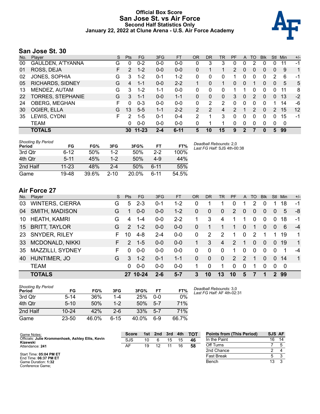### **Official Box Score San Jose St. vs Air Force Second Half Statistics Only January 22, 2022 at Clune Arena - U.S. Air Force Academy**



# **San Jose St. 30**

| No. | Plaver                   | S | <b>Pts</b> | <b>FG</b> | 3FG     | <b>FT</b> | <b>OR</b> | <b>DR</b> | TR | <b>PF</b>     | A        | TO | <b>B</b> lk | Stl           | Min | $+/-$ |
|-----|--------------------------|---|------------|-----------|---------|-----------|-----------|-----------|----|---------------|----------|----|-------------|---------------|-----|-------|
| 00  | GAULDEN, A'TYANNA        | G | 0          | $0 - 2$   | $0 - 0$ | $0 - 0$   | 0         | 3         | 3  | 0             | 0        | 2  | 0           | 0             | 11  | -1    |
| 01  | ROSS, DEJA               | F | 2          | $1 - 2$   | $0 - 0$ | $0 - 0$   | 0         |           |    | 2             | 0        | 0  | 0           | 0             | 9   | 1     |
| 02  | JONES, SOPHIA            | G | 3          | $1 - 2$   | $0 - 1$ | $1 - 2$   | 0         | 0         | 0  |               | 0        | 0  | 0           | 2             | 6   | -1    |
| 05  | <b>RICHARDS, SIDNEY</b>  | G | 4          | $1 - 1$   | $0-0$   | $2 - 2$   |           | 0         |    | $\Omega$      | 0        |    | 0           | $\mathbf{0}$  | 5   | 5     |
| 13  | MENDEZ, AUTAM            | G | 3          | $1 - 2$   | 1-1     | $0 - 0$   | 0         | 0         | 0  |               |          | 0  | 0           | 0             | 11  | 8     |
| 22  | <b>TORRES, STEPHANIE</b> | G | 3          | $1 - 1$   | $0 - 0$ | $1 - 1$   | 0         | 0         | 0  | 3             | 0        | 2  | 0           | $\Omega$      | 13  | $-2$  |
| 24  | OBERG, MEGHAN            | F | 0          | $0 - 3$   | $0 - 0$ | $0 - 0$   | 0         | 2         | 2  | 0             | $\Omega$ | 0  | 0           |               | 14  | -6    |
| 30  | OGIER, ELLA              | G | 13         | $5 - 5$   | $1 - 1$ | $2 - 2$   | 2         | 2         | 4  | $\mathcal{P}$ |          | 2  | 0           | $\mathcal{P}$ | 15  | 12    |
| 35  | LEWIS, CYDNI             | F | 2          | $1 - 5$   | $0 - 1$ | $0 - 4$   | 2         |           | 3  | 0             | 0        | 0  | 0           | 0             | 15  | -1    |
|     | TEAM                     |   | 0          | $0 - 0$   | $0 - 0$ | $0 - 0$   | 0         |           | 1  | 0             | 0        | 0  | 0           | 0             | 0   |       |
|     | <b>TOTALS</b>            |   | 30         | $11 - 23$ | $2 - 4$ | $6 - 11$  | 5         | 10        | 15 | 9             |          |    |             | 5             | 99  |       |

| <b>Shooting By Period</b><br>Period | FG        | FG%   | 3FG      | 3FG%  | FT       | FT%   | Deadball Rebounds: 2,0<br>Last FG Half: SJS 4th-00:38 |
|-------------------------------------|-----------|-------|----------|-------|----------|-------|-------------------------------------------------------|
| 3rd Otr                             | $6 - 12$  | 50%   | 1-2      | 50%   | $2 - 2$  | 100%  |                                                       |
| 4th Qtr                             | $5 - 11$  | 45%   | $1-2$    | 50%   | $4-9$    | 44%   |                                                       |
| 2nd Half                            | $11 - 23$ | 48%   | $2 - 4$  | 50%   | $6 - 11$ | 55%   |                                                       |
| Game                                | 19-48     | 39.6% | $2 - 10$ | 20.0% | հ-11     | 54.5% |                                                       |

# **Air Force 27**

| No. | Player                 | S  | <b>Pts</b>    | FG.       | 3FG     | <b>FT</b> | OR       | <b>DR</b>   | TR             | <b>PF</b> | $\mathsf{A}$   | TO             | <b>Blk</b> | Stl            | Min | $+/-$        |
|-----|------------------------|----|---------------|-----------|---------|-----------|----------|-------------|----------------|-----------|----------------|----------------|------------|----------------|-----|--------------|
| 03  | <b>WINTERS, CIERRA</b> | G  | 5             | $2 - 3$   | $0 - 1$ | 1-2       | 0        |             |                | 0         |                | 2              | 0          |                | 18  | -1           |
| 04  | SMITH, MADISON         | G  |               | $0 - 0$   | $0 - 0$ | $1 - 2$   | 0        | 0           | $\mathbf{0}$   | 2         | $\overline{0}$ | 0              | 0          | 0              | 5   | -8           |
| 10  | <b>HEATH, KAMRI</b>    | G  | 4             | $1 - 4$   | $0 - 0$ | $2 - 2$   |          | 3           | $\overline{4}$ | 1         | 1              | $\Omega$       | $\Omega$   | $\Omega$       | 18  | $-1$         |
| 15  | <b>BRITT, TAYLOR</b>   | G  | $\mathcal{P}$ | $1 - 2$   | $0 - 0$ | $0 - 0$   | $\Omega$ |             |                | 1.        | $\overline{0}$ |                | 0          | 0              | 6   | $-4$         |
| -23 | <b>SNYDER, RILEY</b>   | F. | 10            | $4 - 8$   | $2 - 4$ | $0-0$     | $\Omega$ | 2           | 2              | 1         | $\mathbf{0}$   | 2              |            |                | 19  | 1            |
| 33  | MCDONALD, NIKKI        | F. | $\mathcal{P}$ | $1 - 5$   | $0 - 0$ | $0-0$     | 1        | 3           | 4              | 2         |                | $\overline{0}$ | 0          | $\overline{0}$ | -19 | $\mathbf{1}$ |
| 35  | MAZZILLI, SYDNEY       | F  | $\Omega$      | $0 - 0$   | $0 - 0$ | $0-0$     | $\Omega$ | 0           | $\Omega$       | 1.        | 0              | $\Omega$       | $\Omega$   | $\Omega$       | 1   | $-4$         |
| 40  | HUNTIMER, JO           | G  | 3             | $1 - 2$   | $0 - 1$ | $1 - 1$   | $\Omega$ | $\mathbf 0$ | $\mathbf{0}$   | 2         | $\mathcal{P}$  |                | 0          | $\Omega$       | 14  | $\mathbf{1}$ |
|     | <b>TEAM</b>            |    | 0             | $0 - 0$   | $0 - 0$ | $0-0$     | 1        | 0           |                | 0         | 0              |                | 0          | $\Omega$       | -0  |              |
|     | <b>TOTALS</b>          |    | 27            | $10 - 24$ | $2 - 6$ | $5 - 7$   | 3        | 10          | 13             | 10        | 5              |                |            | 2              | -99 |              |

| <b>Shooting By Period</b><br>Period | FG        | FG%   | 3FG     | 3FG%  | FT      | FT%   |
|-------------------------------------|-----------|-------|---------|-------|---------|-------|
| 3rd Otr                             | $5-14$    | 36%   | 1-4     | 25%   | 0-0     | 0%    |
| 4th Qtr                             | $5 - 10$  | 50%   | $1 - 2$ | 50%   | $5 - 7$ | 71%   |
| 2nd Half                            | $10 - 24$ | 42%   | 2-6     | 33%   | $5 - 7$ | 71%   |
| Game                                | $23 - 50$ | 46.0% | հ-15    | 40.0% | 6-9     | 66.7% |

*Deadball Rebounds:* 3,0 *Last FG Half:* AF 4th-02:31

| Game Notes:                                                   | <b>Score</b> | 1st | 2nd | 3rd | 4th | <b>TOT</b> | <b>Points from (This Period)</b> | SJS AF |    |
|---------------------------------------------------------------|--------------|-----|-----|-----|-----|------------|----------------------------------|--------|----|
| Officials: Julie Krommenhoek, Ashley Ellis, Kevin<br>Kizewski | SJS          | 10  |     | 15  | 15  | 46         | In the Paint                     | 16     | 14 |
| Attendance: 241                                               | AF           | 19  |     |     | 16  | 58         | Off Turns                        |        |    |
|                                                               |              |     |     |     |     |            | 2nd Chance                       |        |    |
| Start Time: 05:04 PM ET<br>End Time: 06:37 PM ET              |              |     |     |     |     |            | <b>Fast Break</b>                |        |    |
| Game Duration: 1:32<br>Conference Game;                       |              |     |     |     |     |            | Bench                            | 13     |    |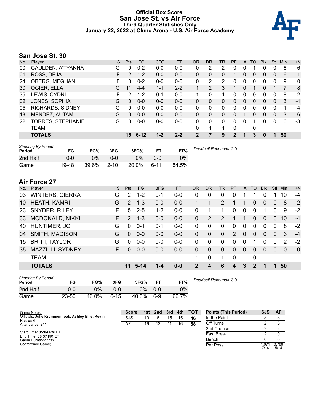### **Official Box Score San Jose St. vs Air Force Third Quarter Statistics Only January 22, 2022 at Clune Arena - U.S. Air Force Academy**



# **San Jose St. 30**

| No. | Plaver                   | S  | <b>Pts</b>      | FG.      | 3FG     | <b>FT</b> | <b>OR</b>    | DR            | TR | PF | A           | TO       | <b>B</b> lk | Stl          | Min | $+/-$        |
|-----|--------------------------|----|-----------------|----------|---------|-----------|--------------|---------------|----|----|-------------|----------|-------------|--------------|-----|--------------|
| 00  | <b>GAULDEN, A'TYANNA</b> | G  | 0               | $0 - 2$  | $0 - 0$ | $0-0$     | 0            | 2             | 2  | 0  | 0           |          | 0           | 0            | 6   | 6            |
| 01  | ROSS, DEJA               | F. | $\mathcal{P}$   | $1 - 2$  | $0 - 0$ | $0-0$     | $\mathbf{0}$ | 0             | 0  | 1  | 0           | $\Omega$ | 0           | $\Omega$     | 6   | 1            |
| 24  | OBERG, MEGHAN            | F  | 0               | $0 - 2$  | $0 - 0$ | $0 - 0$   | 0            | 2             | 2  | 0  | 0           | $\Omega$ | 0           | 0            | 9   | $\mathbf{0}$ |
| 30  | OGIER, ELLA              | G  | 11              | $4 - 4$  | $1 - 1$ | $2 - 2$   |              | $\mathcal{P}$ | 3  |    | 0           |          | $\Omega$    |              |     | 8            |
| 35  | LEWIS, CYDNI             | F  | 2               | $1 - 2$  | $0 - 1$ | $0-0$     | 1            | 0             | 1  | 0  | 0           | 0        | 0           | 0            | 8   | 2            |
| 02  | JONES, SOPHIA            | G  | <sup>0</sup>    | $0 - 0$  | $0 - 0$ | $0 - 0$   | 0            | 0             | 0  | 0  | 0           | 0        | 0           | 0            | 3   | $-4$         |
| 05  | <b>RICHARDS, SIDNEY</b>  | G  | U               | $0 - 0$  | $0 - 0$ | $0 - 0$   | 0            | 0             | 0  | 0  | 0           | 0        | 0           | 0            |     | 4            |
| 13  | MENDEZ, AUTAM            | G  | 0               | $0 - 0$  | $0 - 0$ | $0 - 0$   | $\Omega$     | 0             | 0  | 0  |             | 0        | 0           | $\mathbf{0}$ | 3   | 6            |
| 22  | TORRES, STEPHANIE        | G  | 0               | $0 - 0$  | $0 - 0$ | $0 - 0$   | 0            | 0             | 0  | 0  | $\mathbf 0$ |          | 0           | $\Omega$     | 6   | $-3$         |
|     | <b>TEAM</b>              |    |                 |          |         |           | 0            | 1             | 1  | 0  |             | 0        |             |              |     |              |
|     | <b>TOTALS</b>            |    | 15 <sub>1</sub> | $6 - 12$ | $1 - 2$ | $2 - 2$   | 2            | 7             | 9  | 2  |             | 3        | 0           | 1            | 50  |              |

| <b>Shooting By Period</b><br>Period | FG    | FG%   | 3FG      | 3FG%  | FТ   | FT%   | Deadball Rebounds: 2,0 |
|-------------------------------------|-------|-------|----------|-------|------|-------|------------------------|
| 2nd Half                            | 0-0   | ገ%    | 0-0      | 0%    | ი-ი  | 0%    |                        |
| Game                                | 19-48 | 39.6% | $2 - 10$ | 20.0% | 6-11 | 54.5% |                        |

# **Air Force 27**

| No. | Plaver                 | S  | <b>Pts</b>    | FG.      | 3FG     | <b>FT</b> | OR             | <b>DR</b> | TR           | <b>PF</b>      | $\mathsf{A}$ | TO       | <b>Blk</b> | Stl            | Min      | $+/-$    |
|-----|------------------------|----|---------------|----------|---------|-----------|----------------|-----------|--------------|----------------|--------------|----------|------------|----------------|----------|----------|
| 03  | <b>WINTERS, CIERRA</b> | G  | $\mathcal{P}$ | $1 - 2$  | $0 - 1$ | $0 - 0$   | 0              | 0         | $\Omega$     | 0              |              |          | 0          |                | 10       | $-4$     |
| 10  | <b>HEATH, KAMRI</b>    | G  | $\mathcal{P}$ | $1 - 3$  | $0 - 0$ | $0-0$     |                |           | 2            | 1              |              | 0        | $\Omega$   | 0              | 8        | $-2$     |
| 23  | SNYDER, RILEY          | F  | 5             | $2 - 5$  | $1 - 2$ | $0-0$     | 0              |           |              | $\Omega$       | 0            | 0        |            | $\Omega$       | 9        | $-2$     |
| 33  | <b>MCDONALD, NIKKI</b> | F. | 2             | $1 - 3$  | $0 - 0$ | $0 - 0$   | $\Omega$       | 2         | 2            | 1              | -1           | $\Omega$ | $\Omega$   | $\Omega$       | 10       | $-4$     |
| 40  | HUNTIMER, JO           | G  | $\Omega$      | $0 - 1$  | $0 - 1$ | $0-0$     | 0              | 0         | $\Omega$     | 0              | 0            | $\Omega$ | $\Omega$   | 0              | 8        | $-2$     |
| 04  | <b>SMITH, MADISON</b>  | G  | $\Omega$      | $0 - 0$  | $0 - 0$ | $0 - 0$   | $\Omega$       | 0         | $\mathbf{0}$ | 2              | $\mathbf{0}$ | $\Omega$ | $\Omega$   | $\overline{0}$ | 3        | $-4$     |
| 15  | <b>BRITT, TAYLOR</b>   | G  | 0             | $0 - 0$  | $0-0$   | $0 - 0$   | $\Omega$       | 0         | $\Omega$     | 0              | 0            |          | $\Omega$   | $\mathbf 0$    | 2        | $-2$     |
| 35  | MAZZILLI, SYDNEY       | F  | $\Omega$      | $0 - 0$  | $0 - 0$ | $0 - 0$   | $\Omega$       | 0         | $\mathbf{0}$ | $\Omega$       | $\Omega$     | $\Omega$ | $\Omega$   | $\Omega$       | $\Omega$ | $\Omega$ |
|     | <b>TEAM</b>            |    |               |          |         |           | 1              | 0         |              | $\overline{0}$ |              | 0        |            |                |          |          |
|     | <b>TOTALS</b>          |    | 11            | $5 - 14$ | 1-4     | $0 - 0$   | $\overline{2}$ | 4         | 6            | 4              | 3            | 2        |            | 1.             | 50       |          |

| <b>Shooting By Period</b><br>Period | FG        | FG%   | 3FG      | 3FG%  |         | FT%   |
|-------------------------------------|-----------|-------|----------|-------|---------|-------|
| 2nd Half                            | 0-0       | $0\%$ | ი-ი      | 0%    | $0 - 0$ | 0%    |
| Game                                | $23 - 50$ | 46.0% | $6 - 15$ | 40.0% | հ.9     | 66.7% |

*Deadball Rebounds:* 3,0

| Game Notes:                                       | <b>Score</b> | 1st. | 2nd | 3rd | 4th | тот | <b>Points (This Period)</b> | <b>SJS</b>     | AF            |
|---------------------------------------------------|--------------|------|-----|-----|-----|-----|-----------------------------|----------------|---------------|
| Officials: Julie Krommenhoek, Ashley Ellis, Kevin | SJS          | 10   |     | 15  | 15  | 46  | In the Paint                |                |               |
| Kizewski<br>Attendance: 241                       | AF           | 19   |     |     | 16  | 58  | Off Turns                   |                |               |
|                                                   |              |      |     |     |     |     | 2nd Chance                  |                |               |
| Start Time: 05:04 PM ET<br>End Time: 06:37 PM ET  |              |      |     |     |     |     | <b>Fast Break</b>           |                |               |
| Game Duration: 1:32                               |              |      |     |     |     |     | Bench                       |                |               |
| Conference Game;                                  |              |      |     |     |     |     | Per Poss                    | 071. ا<br>7/14 | 0.786<br>5/14 |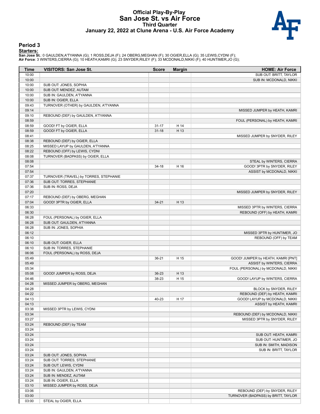#### **Official Play-By-Play San Jose St. vs Air Force Third Quarter January 22, 2022 at Clune Arena - U.S. Air Force Academy**



#### **Period 3**

#### **Starters:**

**San Jose St.**: 0 GAULDEN,A'TYANNA (G); 1 ROSS,DEJA (F); 24 OBERG,MEGHAN (F); 30 OGIER,ELLA (G); 35 LEWIS,CYDNI (F);<br>**Air Force**: 3 WINTERS,CIERRA (G); 10 HEATH,KAMRI (G); 23 SNYDER,RILEY (F); 33 MCDONALD,NIKKI (F); 40 HUN

| Time  | <b>VISITORS: San Jose St.</b>          | <b>Score</b> | <b>Margin</b> | <b>HOME: Air Force</b>              |
|-------|----------------------------------------|--------------|---------------|-------------------------------------|
| 10:00 |                                        |              |               | SUB OUT: BRITT, TAYLOR              |
| 10:00 |                                        |              |               | SUB IN: MCDONALD, NIKKI             |
| 10:00 | SUB OUT: JONES, SOPHIA                 |              |               |                                     |
| 10:00 | SUB OUT: MENDEZ, AUTAM                 |              |               |                                     |
| 10:00 | SUB IN: GAULDEN, A'TYANNA              |              |               |                                     |
| 10:00 | SUB IN: OGIER, ELLA                    |              |               |                                     |
| 09:43 | TURNOVER (OTHER) by GAULDEN, A'TYANNA  |              |               |                                     |
| 09:14 |                                        |              |               | MISSED JUMPER by HEATH, KAMRI       |
| 09:10 | REBOUND (DEF) by GAULDEN, A'TYANNA     |              |               |                                     |
| 08:59 |                                        |              |               | FOUL (PERSONAL) by HEATH, KAMRI     |
| 08:59 | GOOD! FT by OGIER, ELLA                | $31 - 17$    | H 14          |                                     |
| 08:59 | GOOD! FT by OGIER, ELLA                | $31 - 18$    | H 13          |                                     |
| 08:41 |                                        |              |               | MISSED JUMPER by SNYDER, RILEY      |
| 08:38 | REBOUND (DEF) by OGIER, ELLA           |              |               |                                     |
| 08:25 | MISSED LAYUP by GAULDEN, A'TYANNA      |              |               |                                     |
| 08:22 | REBOUND (OFF) by LEWIS, CYDNI          |              |               |                                     |
| 08:08 | TURNOVER (BADPASS) by OGIER, ELLA      |              |               |                                     |
| 08:08 |                                        |              |               | STEAL by WINTERS, CIERRA            |
| 07:54 |                                        | $34 - 18$    | H 16          | GOOD! 3PTR by SNYDER, RILEY         |
| 07:54 |                                        |              |               | ASSIST by MCDONALD, NIKKI           |
| 07:37 | TURNOVER (TRAVEL) by TORRES, STEPHANIE |              |               |                                     |
| 07:36 | SUB OUT: TORRES, STEPHANIE             |              |               |                                     |
| 07:36 | SUB IN: ROSS, DEJA                     |              |               |                                     |
| 07:20 |                                        |              |               | MISSED JUMPER by SNYDER, RILEY      |
| 07:17 | REBOUND (DEF) by OBERG, MEGHAN         |              |               |                                     |
| 07:04 | GOOD! 3PTR by OGIER, ELLA              | $34 - 21$    | H 13          |                                     |
| 06:33 |                                        |              |               | MISSED 3PTR by WINTERS, CIERRA      |
| 06:30 |                                        |              |               | REBOUND (OFF) by HEATH, KAMRI       |
| 06:28 | FOUL (PERSONAL) by OGIER, ELLA         |              |               |                                     |
| 06:28 | SUB OUT: GAULDEN, A'TYANNA             |              |               |                                     |
| 06:28 | SUB IN: JONES, SOPHIA                  |              |               |                                     |
| 06:12 |                                        |              |               | MISSED 3PTR by HUNTIMER, JO         |
| 06:10 |                                        |              |               | REBOUND (OFF) by TEAM               |
| 06:10 | SUB OUT: OGIER, ELLA                   |              |               |                                     |
| 06:10 | SUB IN: TORRES, STEPHANIE              |              |               |                                     |
| 06:06 | FOUL (PERSONAL) by ROSS, DEJA          |              |               |                                     |
| 05:49 |                                        | $36 - 21$    | H 15          | GOOD! JUMPER by HEATH, KAMRI [PNT]  |
| 05:49 |                                        |              |               | ASSIST by WINTERS, CIERRA           |
| 05:34 |                                        |              |               | FOUL (PERSONAL) by MCDONALD, NIKKI  |
| 05:08 | GOOD! JUMPER by ROSS, DEJA             | 36-23        | H 13          |                                     |
| 04:46 |                                        | 38-23        | H 15          | GOOD! LAYUP by WINTERS, CIERRA      |
| 04:28 | MISSED JUMPER by OBERG, MEGHAN         |              |               |                                     |
| 04:28 |                                        |              |               | BLOCK by SNYDER, RILEY              |
| 04:22 |                                        |              |               | REBOUND (DEF) by HEATH, KAMRI       |
| 04:13 |                                        | 40-23        | H 17          | GOOD! LAYUP by MCDONALD, NIKKI      |
| 04:13 |                                        |              |               | ASSIST by HEATH, KAMRI              |
| 03:38 | MISSED 3PTR by LEWIS, CYDNI            |              |               |                                     |
| 03:34 |                                        |              |               | REBOUND (DEF) by MCDONALD, NIKKI    |
| 03:27 |                                        |              |               | MISSED 3PTR by SNYDER, RILEY        |
| 03:24 | REBOUND (DEF) by TEAM                  |              |               |                                     |
| 03:24 |                                        |              |               |                                     |
| 03:24 |                                        |              |               | SUB OUT: HEATH, KAMRI               |
| 03:24 |                                        |              |               | SUB OUT: HUNTIMER, JO               |
| 03:24 |                                        |              |               | SUB IN: SMITH, MADISON              |
| 03:24 |                                        |              |               | SUB IN: BRITT, TAYLOR               |
| 03:24 | SUB OUT: JONES, SOPHIA                 |              |               |                                     |
| 03:24 | SUB OUT: TORRES, STEPHANIE             |              |               |                                     |
| 03:24 | SUB OUT: LEWIS, CYDNI                  |              |               |                                     |
| 03:24 | SUB IN: GAULDEN, A'TYANNA              |              |               |                                     |
| 03:24 | SUB IN: MENDEZ, AUTAM                  |              |               |                                     |
| 03:24 | SUB IN: OGIER, ELLA                    |              |               |                                     |
| 03:10 | MISSED JUMPER by ROSS, DEJA            |              |               |                                     |
| 03:06 |                                        |              |               | REBOUND (DEF) by SNYDER, RILEY      |
| 03:00 |                                        |              |               | TURNOVER (BADPASS) by BRITT, TAYLOR |
| 03:00 | STEAL by OGIER, ELLA                   |              |               |                                     |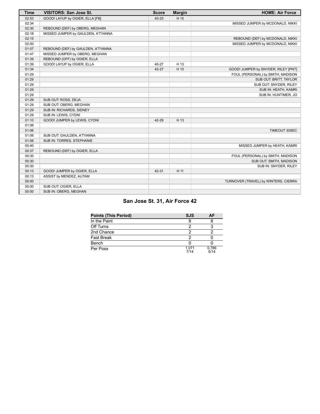| <b>Time</b> | <b>VISITORS: San Jose St.</b>      | <b>Score</b> | <b>Margin</b> | <b>HOME: Air Force</b>               |
|-------------|------------------------------------|--------------|---------------|--------------------------------------|
| 02:53       | GOOD! LAYUP by OGIER, ELLA [FB]    | 40-25        | H 15          |                                      |
| 02:34       |                                    |              |               | MISSED JUMPER by MCDONALD, NIKKI     |
| 02:30       | REBOUND (DEF) by OBERG, MEGHAN     |              |               |                                      |
| 02:18       | MISSED JUMPER by GAULDEN, A'TYANNA |              |               |                                      |
| 02:15       |                                    |              |               | REBOUND (DEF) by MCDONALD, NIKKI     |
| 02:00       |                                    |              |               | MISSED JUMPER by MCDONALD, NIKKI     |
| 01:57       | REBOUND (DEF) by GAULDEN, A'TYANNA |              |               |                                      |
| 01:47       | MISSED JUMPER by OBERG, MEGHAN     |              |               |                                      |
| 01:39       | REBOUND (OFF) by OGIER, ELLA       |              |               |                                      |
| 01:39       | GOOD! LAYUP by OGIER, ELLA         | 40-27        | H 13          |                                      |
| 01:34       |                                    | 42-27        | H 15          | GOOD! JUMPER by SNYDER, RILEY [PNT]  |
| 01:29       |                                    |              |               | FOUL (PERSONAL) by SMITH, MADISON    |
| 01:29       |                                    |              |               | SUB OUT: BRITT, TAYLOR               |
| 01:29       |                                    |              |               | SUB OUT: SNYDER, RILEY               |
| 01:29       |                                    |              |               | SUB IN: HEATH, KAMRI                 |
| 01:29       |                                    |              |               | SUB IN: HUNTIMER, JO                 |
| 01:29       | SUB OUT: ROSS, DEJA                |              |               |                                      |
| 01:29       | SUB OUT: OBERG, MEGHAN             |              |               |                                      |
| 01:29       | SUB IN: RICHARDS, SIDNEY           |              |               |                                      |
| 01:29       | SUB IN: LEWIS, CYDNI               |              |               |                                      |
| 01:10       | GOOD! JUMPER by LEWIS, CYDNI       | 42-29        | H 13          |                                      |
| 01:06       |                                    |              |               |                                      |
| 01:06       |                                    |              |               | TIMEOUT 30SEC                        |
| 01:06       | SUB OUT: GAULDEN, A'TYANNA         |              |               |                                      |
| 01:06       | SUB IN: TORRES, STEPHANIE          |              |               |                                      |
| 00:40       |                                    |              |               | MISSED JUMPER by HEATH, KAMRI        |
| 00:37       | REBOUND (DEF) by OGIER, ELLA       |              |               |                                      |
| 00:30       |                                    |              |               | FOUL (PERSONAL) by SMITH, MADISON    |
| 00:30       |                                    |              |               | SUB OUT: SMITH, MADISON              |
| 00:30       |                                    |              |               | SUB IN: SNYDER, RILEY                |
| 00:13       | GOOD! JUMPER by OGIER, ELLA        | 42-31        | H 11          |                                      |
| 00:13       | ASSIST by MENDEZ, AUTAM            |              |               |                                      |
| 00:00       |                                    |              |               | TURNOVER (TRAVEL) by WINTERS, CIERRA |
| 00:00       | SUB OUT: OGIER, ELLA               |              |               |                                      |
| 00:00       | SUB IN: OBERG, MEGHAN              |              |               |                                      |

# **San Jose St. 31, Air Force 42**

| <b>Points (This Period)</b> | <b>SJS</b>      | АF            |
|-----------------------------|-----------------|---------------|
| In the Paint                |                 |               |
| Off Turns                   |                 |               |
| 2nd Chance                  |                 |               |
| <b>Fast Break</b>           |                 |               |
| Bench                       |                 |               |
| Per Poss                    | 1 0 7 1<br>7/14 | 0.786<br>5/14 |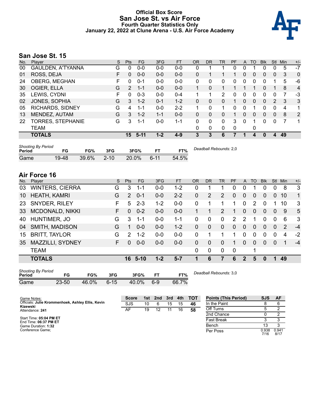### **Official Box Score San Jose St. vs Air Force Fourth Quarter Statistics Only January 22, 2022 at Clune Arena - U.S. Air Force Academy**



# **San Jose St. 15**

| No. | Player                   | S  | <b>Pts</b> | <b>FG</b> | 3FG     | <b>FT</b> | <b>OR</b>    | DR           | TR           | PF | A           | TO           | <b>BIK</b> | Stl          | Min | $+/-$          |
|-----|--------------------------|----|------------|-----------|---------|-----------|--------------|--------------|--------------|----|-------------|--------------|------------|--------------|-----|----------------|
| 00  | <b>GAULDEN, A'TYANNA</b> | G  | 0          | $0 - 0$   | $0 - 0$ | $0-0$     | 0            |              |              | 0  | 0           |              | 0          | 0            | 5   | $-7$           |
| 01  | ROSS, DEJA               | F. | 0          | $0 - 0$   | $0 - 0$ | $0-0$     | 0            |              |              |    | 0           | $\Omega$     | 0          | $\mathbf{0}$ | 3   | $\mathbf{0}$   |
| 24  | OBERG, MEGHAN            | F  | 0          | $0 - 1$   | $0 - 0$ | $0 - 0$   | $\Omega$     | $\Omega$     | 0            | 0  | 0           | $\Omega$     | 0          |              | 5   | -6             |
| 30  | OGIER, ELLA              | G  | 2          | 1-1       | $0 - 0$ | $0-0$     | $\mathbf{1}$ | 0            |              |    |             |              | $\Omega$   |              | 8   | $\overline{4}$ |
| 35  | LEWIS, CYDNI             | F  | 0          | $0 - 3$   | $0-0$   | $0 - 4$   | 1            |              | 2            | 0  | 0           | <sup>0</sup> | 0          | 0            |     | -3             |
| 02  | JONES, SOPHIA            | G  | 3          | $1 - 2$   | $0 - 1$ | $1 - 2$   | 0            | 0            | 0            |    | 0           | 0            | 0          | 2            | 3   | 3              |
| 05  | <b>RICHARDS, SIDNEY</b>  | G  | 4          | 1-1       | $0 - 0$ | $2 - 2$   |              | 0            | 1            | 0  | 0           |              | 0          | 0            | 4   | 1              |
| 13  | MENDEZ, AUTAM            | G  | 3          | $1 - 2$   | $1 - 1$ | $0 - 0$   | $\Omega$     | 0            | 0            |    | 0           | $\Omega$     | 0          | $\mathbf{0}$ | 8   | 2              |
| 22  | TORRES, STEPHANIE        | G  | 3          | 1-1       | $0 - 0$ | $1 - 1$   | 0            | 0            | 0            | 3  | $\mathbf 0$ |              | 0          | 0            | 7   | 1              |
|     | <b>TEAM</b>              |    |            |           |         |           | $\Omega$     | $\mathbf{0}$ | $\mathbf{0}$ | 0  |             | 0            |            |              |     |                |
|     | <b>TOTALS</b>            |    | 15         | $5-11$    | $1 - 2$ | $4 - 9$   | 3            | 3            | 6            |    |             | 4            | 0          | 4            | 49  |                |

| <b>Shooting By Period</b><br>Period | FG    | FG%   | 3FG      | 3FG%     |          | FT%   | Deadball Rebounds: 2,0 |
|-------------------------------------|-------|-------|----------|----------|----------|-------|------------------------|
| Game                                | 19-48 | 39.6% | $2 - 10$ | $20.0\%$ | $6 - 11$ | 54.5% |                        |

# **Air Force 16**

| No.    | Player                          |     | S   | Pts           | <b>FG</b> | 3FG       | <b>FT</b> | 0R           | <b>DR</b>              | TR           | PF          | A            | TO            | <b>Blk</b> | <b>Stl</b>   | Min | $+/-$ |
|--------|---------------------------------|-----|-----|---------------|-----------|-----------|-----------|--------------|------------------------|--------------|-------------|--------------|---------------|------------|--------------|-----|-------|
| 03     | <b>WINTERS, CIERRA</b>          |     | G   | 3             | 1-1       | $0 - 0$   | $1 - 2$   | 0            | 1                      | 1            | 0           | 0            |               | 0          | 0            | 8   | 3     |
| 10     | <b>HEATH, KAMRI</b>             |     | G   | 2             | $0 - 1$   | $0-0$     | $2 - 2$   | 0            | 2                      | 2            | $\Omega$    | $\Omega$     | $\Omega$      | $\Omega$   | $\Omega$     | 10  | 1     |
| 23     | SNYDER, RILEY                   |     | F   | 5             | $2 - 3$   | $1 - 2$   | $0-0$     | 0            | 1                      | 1            | 1           | 0            | $\mathcal{P}$ | $\Omega$   | 1            | 10  | 3     |
| 33     | <b>MCDONALD, NIKKI</b>          |     | F   | $\mathbf 0$   | $0 - 2$   | $0-0$     | $0 - 0$   | 1            | 1                      | 2            | 1           | $\Omega$     | $\Omega$      | $\Omega$   | $\Omega$     | 9   | 5     |
| 40     | HUNTIMER, JO                    |     | G   | 3             | $1 - 1$   | $0-0$     | $1 - 1$   | 0            | 0                      | 0            | 2           | 2            | 1             | $\Omega$   | $\Omega$     | 6   | 3     |
| 04     | SMITH, MADISON                  |     | G   | 1             | $0-0$     | $0-0$     | $1 - 2$   | $\mathbf{0}$ | 0                      | $\mathbf{0}$ | $\mathbf 0$ | $\Omega$     | $\Omega$      | $\Omega$   | $\mathbf{0}$ | 2   | $-4$  |
| 15     | <b>BRITT, TAYLOR</b>            |     | G   | $\mathcal{P}$ | $1 - 2$   | 0-0       | $0 - 0$   | 0            | 1                      | 1            | 1           | 0            | $\Omega$      | 0          | 0            | 4   | $-2$  |
| 35     | MAZZILLI, SYDNEY                |     | F.  | $\Omega$      | $0 - 0$   | $0-0$     | $0 - 0$   | $\mathbf{0}$ | 0                      | $\Omega$     | 1           | $\Omega$     | $\Omega$      | $\Omega$   | $\mathbf{0}$ | 1   | $-4$  |
|        | <b>TEAM</b>                     |     |     |               |           |           |           | $\Omega$     | 0                      | $\Omega$     | 0           |              | 1             |            |              |     |       |
|        | <b>TOTALS</b>                   |     |     | 16            | $5 - 10$  | $1 - 2$   | $5 - 7$   | 1            | 6                      | 7            | 6           | $\mathbf{2}$ | 5             | $\bf{0}$   | 1            | 49  |       |
| Period | <b>Shooting By Period</b><br>FG | FG% | 3FG |               | 3FG%      | <b>FT</b> | FT%       |              | Deadball Rebounds: 3.0 |              |             |              |               |            |              |     |       |

Game 23-50 46.0% 6-15 40.0% 6-9 66.7%

| Game Notes:                                                   | <b>Score</b> |    | 1st 2nd | 3rd | 4th | – тот | <b>Points (This Period)</b> | SJS           | <b>AF</b>     |
|---------------------------------------------------------------|--------------|----|---------|-----|-----|-------|-----------------------------|---------------|---------------|
| Officials: Julie Krommenhoek, Ashley Ellis, Kevin<br>Kizewski | <b>SJS</b>   | 10 |         | 15  | 15  | 46    | In the Paint                |               |               |
| Attendance: 241                                               | AF           | 19 |         |     | 16  | 58    | Off Turns                   |               |               |
|                                                               |              |    |         |     |     |       | 2nd Chance                  |               |               |
| Start Time: 05:04 PM ET<br>End Time: 06:37 PM ET              |              |    |         |     |     |       | <b>Fast Break</b>           |               |               |
| Game Duration: 1:32                                           |              |    |         |     |     |       | Bench                       |               |               |
| Conference Game:                                              |              |    |         |     |     |       | Per Poss                    | 0.938<br>7/16 | 0.941<br>8/17 |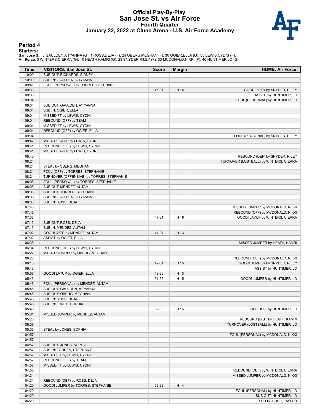### **Official Play-By-Play San Jose St. vs Air Force Fourth Quarter January 22, 2022 at Clune Arena - U.S. Air Force Academy**



#### **Period 4**

<mark>Startersː</mark><br>San Jose St.: 0 GAULDEN,A'TYANNA (G); 1 ROSS,DEJA (F); 24 OBERG,MEGHAN (F); 30 OGIER,ELLA (G); 35 LEWIS,CYDNI (F);<br>Air Force: 3 WINTERS,CIERRA (G); 10 HEATH,KAMRI (G); 23 SNYDER,RILEY (F); 33 MCDONALD,NIKKI (F)

| Time  | <b>VISITORS: San Jose St.</b>             | <b>Score</b> | <b>Margin</b> | <b>HOME: Air Force</b>                 |
|-------|-------------------------------------------|--------------|---------------|----------------------------------------|
| 10:00 | SUB OUT: RICHARDS, SIDNEY                 |              |               |                                        |
| 10:00 | SUB IN: GAULDEN, A'TYANNA                 |              |               |                                        |
| 09:41 | FOUL (PERSONAL) by TORRES, STEPHANIE      |              |               |                                        |
| 09:33 |                                           | 45-31        | H 14          | GOOD! 3PTR by SNYDER, RILEY            |
| 09:33 |                                           |              |               | ASSIST by HUNTIMER, JO                 |
| 09:04 |                                           |              |               | FOUL (PERSONAL) by HUNTIMER, JO        |
| 09:04 | SUB OUT: GAULDEN, A'TYANNA                |              |               |                                        |
| 09:04 | SUB IN: OGIER, ELLA                       |              |               |                                        |
| 09:04 | MISSED FT by LEWIS, CYDNI                 |              |               |                                        |
| 09:04 | REBOUND (OFF) by TEAM                     |              |               |                                        |
| 09:04 | MISSED FT by LEWIS, CYDNI                 |              |               |                                        |
| 09:04 | REBOUND (OFF) by OGIER, ELLA              |              |               |                                        |
| 09:04 |                                           |              |               | FOUL (PERSONAL) by SNYDER, RILEY       |
| 08:47 | MISSED LAYUP by LEWIS, CYDNI              |              |               |                                        |
| 08:41 | REBOUND (OFF) by LEWIS, CYDNI             |              |               |                                        |
| 08:41 | MISSED LAYUP by LEWIS, CYDNI              |              |               |                                        |
| 08:40 |                                           |              |               | REBOUND (DEF) by SNYDER, RILEY         |
| 08:24 |                                           |              |               | TURNOVER (LOSTBALL) by WINTERS, CIERRA |
| 08:24 | STEAL by OBERG, MEGHAN                    |              |               |                                        |
| 08:24 | FOUL (OFF) by TORRES, STEPHANIE           |              |               |                                        |
| 08:24 | TURNOVER (OFFENSIVE) by TORRES, STEPHANIE |              |               |                                        |
| 08:08 | FOUL (PERSONAL) by TORRES, STEPHANIE      |              |               |                                        |
| 08:08 | SUB OUT: MENDEZ, AUTAM                    |              |               |                                        |
| 08:08 | SUB OUT: TORRES, STEPHANIE                |              |               |                                        |
| 08:08 | SUB IN: GAULDEN, A'TYANNA                 |              |               |                                        |
| 08:08 | SUB IN: ROSS, DEJA                        |              |               |                                        |
| 07:48 |                                           |              |               | MISSED JUMPER by MCDONALD, NIKKI       |
| 07:45 |                                           |              |               | REBOUND (OFF) by MCDONALD, NIKKI       |
| 07:38 |                                           | 47-31        | H 16          | GOOD! LAYUP by WINTERS, CIERRA         |
| 07:13 | SUB OUT: ROSS, DEJA                       |              |               |                                        |
| 07:13 | SUB IN: MENDEZ, AUTAM                     |              |               |                                        |
| 07:02 | GOOD! 3PTR by MENDEZ, AUTAM               | 47-34        | H 13          |                                        |
| 07:02 | ASSIST by OGIER, ELLA                     |              |               |                                        |
| 06:38 |                                           |              |               | MISSED JUMPER by HEATH, KAMRI          |
| 06:34 | REBOUND (DEF) by LEWIS, CYDNI             |              |               |                                        |
| 06:27 | MISSED JUMPER by OBERG, MEGHAN            |              |               |                                        |
| 06:23 |                                           |              |               | REBOUND (DEF) by MCDONALD, NIKKI       |
| 06:13 |                                           | 49-34        | H 15          | GOOD! JUMPER by SNYDER, RILEY          |
| 06:13 |                                           |              |               | ASSIST by HUNTIMER, JO                 |
| 05:57 | GOOD! LAYUP by OGIER, ELLA                | 49-36        | H 13          |                                        |
| 05:45 |                                           | 51-36        | H 15          | GOOD! JUMPER by HUNTIMER, JO           |
| 05:45 | FOUL (PERSONAL) by MENDEZ, AUTAM          |              |               |                                        |
| 05:45 | SUB OUT: GAULDEN, A'TYANNA                |              |               |                                        |
| 05:45 | SUB OUT: OBERG, MEGHAN                    |              |               |                                        |
| 05:45 | SUB IN: ROSS, DEJA                        |              |               |                                        |
| 05:45 | SUB IN: JONES, SOPHIA                     |              |               |                                        |
| 05:45 |                                           | 52-36        | H 16          | GOOD! FT by HUNTIMER, JO               |
| 05:31 | MISSED JUMPER by MENDEZ, AUTAM            |              |               |                                        |
| 05:26 |                                           |              |               | REBOUND (DEF) by HEATH, KAMRI          |
| 05:06 |                                           |              |               | TURNOVER (LOSTBALL) by HUNTIMER, JO    |
| 05:06 | STEAL by JONES, SOPHIA                    |              |               |                                        |
| 04:57 |                                           |              |               | FOUL (PERSONAL) by MCDONALD, NIKKI     |
| 04:57 |                                           |              |               |                                        |
| 04:57 | SUB OUT: JONES, SOPHIA                    |              |               |                                        |
| 04:57 | SUB IN: TORRES, STEPHANIE                 |              |               |                                        |
| 04:57 | MISSED FT by LEWIS, CYDNI                 |              |               |                                        |
| 04:57 | REBOUND (OFF) by TEAM                     |              |               |                                        |
| 04:57 | MISSED FT by LEWIS, CYDNI                 |              |               |                                        |
| 04:55 |                                           |              |               | REBOUND (DEF) by WINTERS, CIERRA       |
| 04:34 |                                           |              |               | MISSED JUMPER by MCDONALD, NIKKI       |
| 04:31 | REBOUND (DEF) by ROSS, DEJA               |              |               |                                        |
| 04:20 | GOOD! JUMPER by TORRES, STEPHANIE         | 52-38        | H 14          |                                        |
| 04:20 |                                           |              |               | FOUL (PERSONAL) by HUNTIMER, JO        |
| 04:20 |                                           |              |               | SUB OUT: HUNTIMER, JO                  |
| 04:20 |                                           |              |               | SUB IN: BRITT, TAYLOR                  |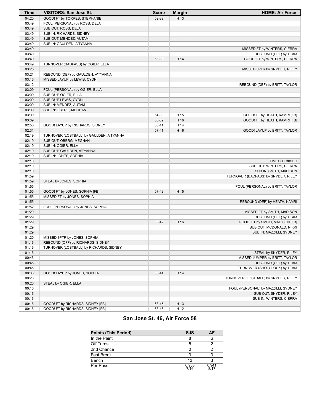| <b>Time</b> | VISITORS: San Jose St.                   | <b>Score</b> | <b>Margin</b> | <b>HOME: Air Force</b>               |
|-------------|------------------------------------------|--------------|---------------|--------------------------------------|
| 04:20       | GOOD! FT by TORRES, STEPHANIE            | 52-39        | H 13          |                                      |
| 03:49       | FOUL (PERSONAL) by ROSS, DEJA            |              |               |                                      |
| 03:49       | SUB OUT: ROSS, DEJA                      |              |               |                                      |
| 03:49       | SUB IN: RICHARDS, SIDNEY                 |              |               |                                      |
| 03:49       | SUB OUT: MENDEZ, AUTAM                   |              |               |                                      |
| 03:49       | SUB IN: GAULDEN, A'TYANNA                |              |               |                                      |
| 03:49       |                                          |              |               | MISSED FT by WINTERS, CIERRA         |
| 03:49       |                                          |              |               | REBOUND (OFF) by TEAM                |
| 03:49       |                                          | 53-39        | H 14          | GOOD! FT by WINTERS, CIERRA          |
| 03:49       | TURNOVER (BADPASS) by OGIER, ELLA        |              |               |                                      |
| 03:25       |                                          |              |               | MISSED 3PTR by SNYDER, RILEY         |
| 03:21       | REBOUND (DEF) by GAULDEN, A'TYANNA       |              |               |                                      |
| 03:16       | MISSED LAYUP by LEWIS, CYDNI             |              |               |                                      |
| 03:12       |                                          |              |               | REBOUND (DEF) by BRITT, TAYLOR       |
| 03:09       | FOUL (PERSONAL) by OGIER, ELLA           |              |               |                                      |
| 03:09       | SUB OUT: OGIER, ELLA                     |              |               |                                      |
| 03:09       | SUB OUT: LEWIS, CYDNI                    |              |               |                                      |
| 03:09       | SUB IN: MENDEZ, AUTAM                    |              |               |                                      |
| 03:09       | SUB IN: OBERG, MEGHAN                    |              |               |                                      |
| 03:09       |                                          | 54-39        | H 15          | GOOD! FT by HEATH, KAMRI [FB]        |
| 03:09       |                                          | 55-39        | H 16          | GOOD! FT by HEATH, KAMRI [FB]        |
| 02:56       | GOOD! LAYUP by RICHARDS, SIDNEY          | 55-41        | H 14          |                                      |
| 02:31       |                                          | $57 - 41$    | H 16          | GOOD! LAYUP by BRITT, TAYLOR         |
| 02:19       | TURNOVER (LOSTBALL) by GAULDEN, A'TYANNA |              |               |                                      |
| 02:19       | SUB OUT: OBERG, MEGHAN                   |              |               |                                      |
| 02:19       | SUB IN: OGIER, ELLA                      |              |               |                                      |
| 02:19       | SUB OUT: GAULDEN, A'TYANNA               |              |               |                                      |
| 02:19       | SUB IN: JONES, SOPHIA                    |              |               |                                      |
| 02:10       |                                          |              |               | TIMEOUT 30SEC                        |
| 02:10       |                                          |              |               | SUB OUT: WINTERS, CIERRA             |
| 02:10       |                                          |              |               | SUB IN: SMITH, MADISON               |
| 01:59       |                                          |              |               | TURNOVER (BADPASS) by SNYDER, RILEY  |
| 01:59       | STEAL by JONES, SOPHIA                   |              |               |                                      |
| 01:55       |                                          |              |               | FOUL (PERSONAL) by BRITT, TAYLOR     |
| 01:55       | GOOD! FT by JONES, SOPHIA [FB]           | 57-42        | H 15          |                                      |
| 01:55       | MISSED FT by JONES, SOPHIA               |              |               |                                      |
| 01:55       |                                          |              |               | REBOUND (DEF) by HEATH, KAMRI        |
| 01:52       | FOUL (PERSONAL) by JONES, SOPHIA         |              |               |                                      |
| 01:29       |                                          |              |               | MISSED FT by SMITH, MADISON          |
| 01:29       |                                          |              |               | REBOUND (OFF) by TEAM                |
| 01:29       |                                          | 58-42        | H 16          | GOOD! FT by SMITH, MADISON [FB]      |
| 01:29       |                                          |              |               | SUB OUT: MCDONALD, NIKKI             |
| 01:29       |                                          |              |               | SUB IN: MAZZILLI, SYDNEY             |
| 01:20       | MISSED 3PTR by JONES, SOPHIA             |              |               |                                      |
| 01:16       | REBOUND (OFF) by RICHARDS, SIDNEY        |              |               |                                      |
| 01:16       | TURNOVER (LOSTBALL) by RICHARDS, SIDNEY  |              |               |                                      |
| 01:16       |                                          |              |               | STEAL by SNYDER, RILEY               |
| 00:46       |                                          |              |               | MISSED JUMPER by BRITT, TAYLOR       |
| 00:45       |                                          |              |               | REBOUND (OFF) by TEAM                |
| 00:45       |                                          |              |               | TURNOVER (SHOTCLOCK) by TEAM         |
| 00:38       | GOOD! LAYUP by JONES, SOPHIA             | 58-44        | H 14          |                                      |
| 00:20       |                                          |              |               | TURNOVER (LOSTBALL) by SNYDER, RILEY |
| 00:20       | STEAL by OGIER, ELLA                     |              |               |                                      |
| 00:16       |                                          |              |               | FOUL (PERSONAL) by MAZZILLI, SYDNEY  |
| 00:16       |                                          |              |               | SUB OUT: SNYDER, RILEY               |
| 00:16       |                                          |              |               | SUB IN: WINTERS, CIERRA              |
| 00:16       | GOOD! FT by RICHARDS, SIDNEY [FB]        | 58-45        | H 13          |                                      |
| 00:16       | GOOD! FT by RICHARDS, SIDNEY [FB]        |              | H 12          |                                      |
|             |                                          | 58-46        |               |                                      |

# **San Jose St. 46, Air Force 58**

| <b>Points (This Period)</b> | <b>SJS</b>    | ΑF            |
|-----------------------------|---------------|---------------|
| In the Paint                | 8             |               |
| Off Turns                   | 5             |               |
| 2nd Chance                  |               |               |
| <b>Fast Break</b>           | ว             |               |
| Bench                       | 13            |               |
| Per Poss                    | 0.938<br>7/16 | 0.941<br>8/17 |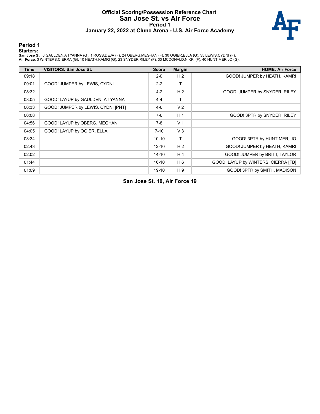#### **Official Scoring/Possession Reference Chart San Jose St. vs Air Force Period 1 January 22, 2022 at Clune Arena - U.S. Air Force Academy**



#### **Period 1**

#### **Starters:**

**San Jose St.**: 0 GAULDEN,A'TYANNA (G); 1 ROSS,DEJA (F); 24 OBERG,MEGHAN (F); 30 OGIER,ELLA (G); 35 LEWIS,CYDNI (F);<br>**Air Force**: 3 WINTERS,CIERRA (G); 10 HEATH,KAMRI (G); 23 SNYDER,RILEY (F); 33 MCDONALD,NIKKI (F); 40 HUN

| Time  | <b>VISITORS: San Jose St.</b>      | <b>Score</b> | <b>Margin</b>  | <b>HOME: Air Force</b>              |
|-------|------------------------------------|--------------|----------------|-------------------------------------|
| 09:18 |                                    | $2 - 0$      | H <sub>2</sub> | GOOD! JUMPER by HEATH, KAMRI        |
| 09:01 | GOOD! JUMPER by LEWIS, CYDNI       | $2 - 2$      | т              |                                     |
| 08:32 |                                    | $4 - 2$      | H <sub>2</sub> | GOOD! JUMPER by SNYDER, RILEY       |
| 08:05 | GOOD! LAYUP by GAULDEN, A'TYANNA   | $4 - 4$      |                |                                     |
| 06:33 | GOOD! JUMPER by LEWIS, CYDNI [PNT] | $4-6$        | V <sub>2</sub> |                                     |
| 06:08 |                                    | $7-6$        | H <sub>1</sub> | GOOD! 3PTR by SNYDER, RILEY         |
| 04:56 | GOOD! LAYUP by OBERG, MEGHAN       | $7-8$        | V <sub>1</sub> |                                     |
| 04:05 | GOOD! LAYUP by OGIER, ELLA         | $7 - 10$     | $V_3$          |                                     |
| 03:34 |                                    | $10 - 10$    | т              | GOOD! 3PTR by HUNTIMER, JO          |
| 02:43 |                                    | $12 - 10$    | H <sub>2</sub> | GOOD! JUMPER by HEATH, KAMRI        |
| 02:02 |                                    | $14 - 10$    | H 4            | GOOD! JUMPER by BRITT, TAYLOR       |
| 01:44 |                                    | $16 - 10$    | H 6            | GOOD! LAYUP by WINTERS, CIERRA [FB] |
| 01:09 |                                    | 19-10        | H 9            | GOOD! 3PTR by SMITH, MADISON        |

**San Jose St. 10, Air Force 19**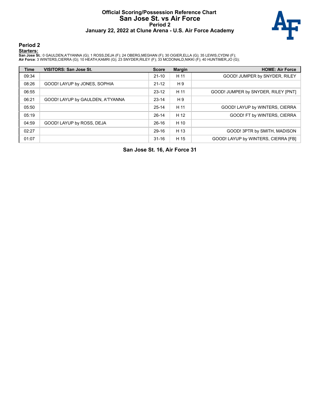#### **Official Scoring/Possession Reference Chart San Jose St. vs Air Force Period 2 January 22, 2022 at Clune Arena - U.S. Air Force Academy**



#### **Period 2**

#### **Starters:**

**San Jose St.**: 0 GAULDEN,A'TYANNA (G); 1 ROSS,DEJA (F); 24 OBERG,MEGHAN (F); 30 OGIER,ELLA (G); 35 LEWIS,CYDNI (F);<br>**Air Force**: 3 WINTERS,CIERRA (G); 10 HEATH,KAMRI (G); 23 SNYDER,RILEY (F); 33 MCDONALD,NIKKI (F); 40 HUN

| <b>Time</b> | <b>VISITORS: San Jose St.</b>    | <b>Score</b> | <b>Margin</b> | <b>HOME: Air Force</b>              |
|-------------|----------------------------------|--------------|---------------|-------------------------------------|
| 09:34       |                                  | $21 - 10$    | H 11          | GOOD! JUMPER by SNYDER, RILEY       |
| 08:26       | GOOD! LAYUP by JONES, SOPHIA     | $21 - 12$    | H 9           |                                     |
| 06:55       |                                  | $23-12$      | H 11          | GOOD! JUMPER by SNYDER, RILEY [PNT] |
| 06:21       | GOOD! LAYUP by GAULDEN, A'TYANNA | $23 - 14$    | H 9           |                                     |
| 05:50       |                                  | $25 - 14$    | H 11          | GOOD! LAYUP by WINTERS, CIERRA      |
| 05:19       |                                  | $26-14$      | H 12          | GOOD! FT by WINTERS, CIERRA         |
| 04:59       | GOOD! LAYUP by ROSS, DEJA        | $26-16$      | H 10          |                                     |
| 02:27       |                                  | 29-16        | H 13          | GOOD! 3PTR by SMITH, MADISON        |
| 01:07       |                                  | $31 - 16$    | H 15          | GOOD! LAYUP by WINTERS, CIERRA [FB] |

**San Jose St. 16, Air Force 31**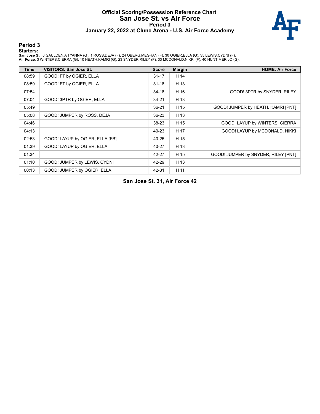### **Official Scoring/Possession Reference Chart San Jose St. vs Air Force Period 3 January 22, 2022 at Clune Arena - U.S. Air Force Academy**



#### **Period 3**

#### **Starters:**

**San Jose St.**: 0 GAULDEN,A'TYANNA (G); 1 ROSS,DEJA (F); 24 OBERG,MEGHAN (F); 30 OGIER,ELLA (G); 35 LEWIS,CYDNI (F);<br>**Air Force**: 3 WINTERS,CIERRA (G); 10 HEATH,KAMRI (G); 23 SNYDER,RILEY (F); 33 MCDONALD,NIKKI (F); 40 HUN

| Time  | VISITORS: San Jose St.          | <b>Score</b> | <b>Margin</b> | <b>HOME: Air Force</b>              |
|-------|---------------------------------|--------------|---------------|-------------------------------------|
| 08:59 | GOOD! FT by OGIER, ELLA         | $31 - 17$    | H 14          |                                     |
| 08:59 | GOOD! FT by OGIER, ELLA         | $31 - 18$    | H 13          |                                     |
| 07:54 |                                 | $34 - 18$    | H 16          | GOOD! 3PTR by SNYDER, RILEY         |
| 07:04 | GOOD! 3PTR by OGIER, ELLA       | $34 - 21$    | H 13          |                                     |
| 05:49 |                                 | 36-21        | H 15          | GOOD! JUMPER by HEATH, KAMRI [PNT]  |
| 05:08 | GOOD! JUMPER by ROSS, DEJA      | 36-23        | H 13          |                                     |
| 04:46 |                                 | 38-23        | H 15          | GOOD! LAYUP by WINTERS, CIERRA      |
| 04:13 |                                 | 40-23        | H 17          | GOOD! LAYUP by MCDONALD, NIKKI      |
| 02:53 | GOOD! LAYUP by OGIER, ELLA [FB] | 40-25        | H 15          |                                     |
| 01:39 | GOOD! LAYUP by OGIER, ELLA      | 40-27        | H 13          |                                     |
| 01:34 |                                 | 42-27        | H 15          | GOOD! JUMPER by SNYDER, RILEY [PNT] |
| 01:10 | GOOD! JUMPER by LEWIS, CYDNI    | 42-29        | H 13          |                                     |
| 00:13 | GOOD! JUMPER by OGIER, ELLA     | 42-31        | H 11          |                                     |

**San Jose St. 31, Air Force 42**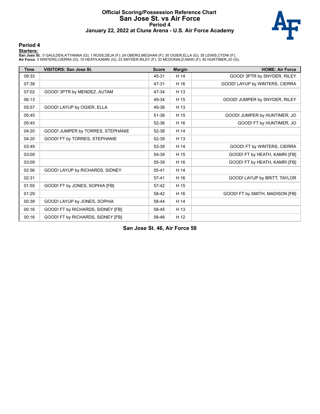#### **Official Scoring/Possession Reference Chart San Jose St. vs Air Force Period 4 January 22, 2022 at Clune Arena - U.S. Air Force Academy**



#### **Period 4**

#### **Starters:**

**San Jose St.**: 0 GAULDEN,A'TYANNA (G); 1 ROSS,DEJA (F); 24 OBERG,MEGHAN (F); 30 OGIER,ELLA (G); 35 LEWIS,CYDNI (F);<br>**Air Force**: 3 WINTERS,CIERRA (G); 10 HEATH,KAMRI (G); 23 SNYDER,RILEY (F); 33 MCDONALD,NIKKI (F); 40 HUN

| <b>Time</b> | <b>VISITORS: San Jose St.</b>     | <b>Score</b> | <b>Margin</b> | <b>HOME: Air Force</b>          |
|-------------|-----------------------------------|--------------|---------------|---------------------------------|
| 09:33       |                                   | 45-31        | H 14          | GOOD! 3PTR by SNYDER, RILEY     |
| 07:38       |                                   | 47-31        | H 16          | GOOD! LAYUP by WINTERS, CIERRA  |
| 07:02       | GOOD! 3PTR by MENDEZ, AUTAM       | 47-34        | H 13          |                                 |
| 06:13       |                                   | 49-34        | H 15          | GOOD! JUMPER by SNYDER, RILEY   |
| 05:57       | GOOD! LAYUP by OGIER, ELLA        | 49-36        | H 13          |                                 |
| 05:45       |                                   | 51-36        | H 15          | GOOD! JUMPER by HUNTIMER, JO    |
| 05:45       |                                   | 52-36        | H 16          | GOOD! FT by HUNTIMER, JO        |
| 04:20       | GOOD! JUMPER by TORRES, STEPHANIE | 52-38        | H 14          |                                 |
| 04:20       | GOOD! FT by TORRES, STEPHANIE     | 52-39        | H 13          |                                 |
| 03:49       |                                   | 53-39        | H 14          | GOOD! FT by WINTERS, CIERRA     |
| 03:09       |                                   | 54-39        | H 15          | GOOD! FT by HEATH, KAMRI [FB]   |
| 03:09       |                                   | 55-39        | H 16          | GOOD! FT by HEATH, KAMRI [FB]   |
| 02:56       | GOOD! LAYUP by RICHARDS, SIDNEY   | 55-41        | H 14          |                                 |
| 02:31       |                                   | $57 - 41$    | H 16          | GOOD! LAYUP by BRITT, TAYLOR    |
| 01:55       | GOOD! FT by JONES, SOPHIA [FB]    | 57-42        | H 15          |                                 |
| 01:29       |                                   | 58-42        | H 16          | GOOD! FT by SMITH, MADISON [FB] |
| 00:38       | GOOD! LAYUP by JONES, SOPHIA      | 58-44        | H 14          |                                 |
| 00:16       | GOOD! FT by RICHARDS, SIDNEY [FB] | 58-45        | H 13          |                                 |
| 00:16       | GOOD! FT by RICHARDS, SIDNEY [FB] | 58-46        | H 12          |                                 |

**San Jose St. 46, Air Force 58**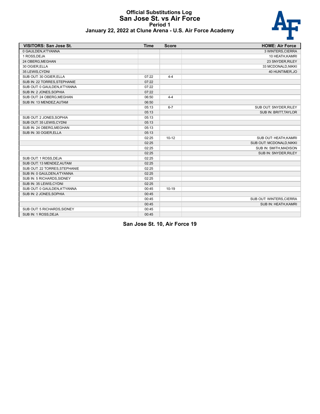#### **Official Substitutions Log San Jose St. vs Air Force Period 1 January 22, 2022 at Clune Arena - U.S. Air Force Academy**



| <b>VISITORS: San Jose St.</b> | <b>Time</b> | <b>Score</b> | <b>HOME: Air Force</b>   |
|-------------------------------|-------------|--------------|--------------------------|
| 0 GAULDEN, A'TYANNA           |             |              | 3 WINTERS, CIERRA        |
| 1 ROSS, DEJA                  |             |              | 10 HEATH, KAMRI          |
| 24 OBERG, MEGHAN              |             |              | 23 SNYDER, RILEY         |
| 30 OGIER, ELLA                |             |              | 33 MCDONALD, NIKKI       |
| 35 LEWIS, CYDNI               |             |              | 40 HUNTIMER, JO          |
| SUB OUT: 30 OGIER, ELLA       | 07:22       | $4 - 4$      |                          |
| SUB IN: 22 TORRES, STEPHANIE  | 07:22       |              |                          |
| SUB OUT: 0 GAULDEN, A'TYANNA  | 07:22       |              |                          |
| SUB IN: 2 JONES, SOPHIA       | 07:22       |              |                          |
| SUB OUT: 24 OBERG, MEGHAN     | 06:50       | $4 - 4$      |                          |
| SUB IN: 13 MENDEZ, AUTAM      | 06:50       |              |                          |
|                               | 05:13       | $6 - 7$      | SUB OUT: SNYDER, RILEY   |
|                               | 05:13       |              | SUB IN: BRITT, TAYLOR    |
| SUB OUT: 2 JONES SOPHIA       | 05:13       |              |                          |
| SUB OUT: 35 LEWIS CYDNI       | 05:13       |              |                          |
| SUB IN: 24 OBERG, MEGHAN      | 05:13       |              |                          |
| SUB IN: 30 OGIER, ELLA        | 05:13       |              |                          |
|                               | 02:25       | $10-12$      | SUB OUT: HEATH, KAMRI    |
|                               | 02:25       |              | SUB OUT: MCDONALD, NIKKI |
|                               | 02:25       |              | SUB IN: SMITH, MADISON   |
|                               | 02:25       |              | SUB IN: SNYDER, RILEY    |
| SUB OUT: 1 ROSS, DEJA         | 02:25       |              |                          |
| SUB OUT: 13 MENDEZ, AUTAM     | 02:25       |              |                          |
| SUB OUT: 22 TORRES, STEPHANIE | 02:25       |              |                          |
| SUB IN: 0 GAULDEN, A'TYANNA   | 02:25       |              |                          |
| SUB IN: 5 RICHARDS, SIDNEY    | 02:25       |              |                          |
| SUB IN: 35 LEWIS, CYDNI       | 02:25       |              |                          |
| SUB OUT: 0 GAULDEN, A'TYANNA  | 00:45       | $10-19$      |                          |
| SUB IN: 2 JONES, SOPHIA       | 00:45       |              |                          |
|                               | 00:45       |              | SUB OUT: WINTERS, CIERRA |
|                               | 00:45       |              | SUB IN: HEATH, KAMRI     |
| SUB OUT: 5 RICHARDS, SIDNEY   | 00:45       |              |                          |
| SUB IN: 1 ROSS, DEJA          | 00:45       |              |                          |

**San Jose St. 10, Air Force 19**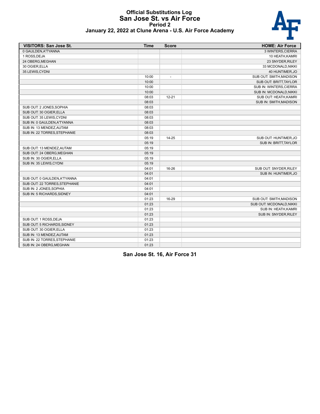# **Official Substitutions Log San Jose St. vs Air Force Period 2**



| <b>VISITORS: San Jose St.</b> | <b>Time</b> | <b>Score</b>   | <b>HOME: Air Force</b>        |
|-------------------------------|-------------|----------------|-------------------------------|
| 0 GAULDEN, A'TYANNA           |             |                | 3 WINTERS, CIERRA             |
| 1 ROSS, DEJA                  |             |                | 10 HEATH, KAMRI               |
| 24 OBERG, MEGHAN              |             |                | 23 SNYDER, RILEY              |
| 30 OGIER, ELLA                |             |                | 33 MCDONALD, NIKKI            |
| 35 LEWIS, CYDNI               |             |                | 40 HUNTIMER, JO               |
|                               | 10:00       | $\overline{a}$ | SUB OUT: SMITH, MADISON       |
|                               | 10:00       |                | <b>SUB OUT: BRITT, TAYLOR</b> |
|                               | 10:00       |                | SUB IN: WINTERS, CIERRA       |
|                               | 10:00       |                | SUB IN: MCDONALD, NIKKI       |
|                               | 08:03       | $12 - 21$      | SUB OUT: HEATH, KAMRI         |
|                               | 08:03       |                | SUB IN: SMITH, MADISON        |
| SUB OUT: 2 JONES, SOPHIA      | 08:03       |                |                               |
| SUB OUT: 30 OGIER, ELLA       | 08:03       |                |                               |
| SUB OUT: 35 LEWIS, CYDNI      | 08:03       |                |                               |
| SUB IN: 0 GAULDEN, A'TYANNA   | 08:03       |                |                               |
| SUB IN: 13 MENDEZ, AUTAM      | 08:03       |                |                               |
| SUB IN: 22 TORRES, STEPHANIE  | 08:03       |                |                               |
|                               | 05:19       | $14 - 25$      | SUB OUT: HUNTIMER,JO          |
|                               | 05:19       |                | SUB IN: BRITT, TAYLOR         |
| SUB OUT: 13 MENDEZ, AUTAM     | 05:19       |                |                               |
| SUB OUT: 24 OBERG, MEGHAN     | 05:19       |                |                               |
| SUB IN: 30 OGIER, ELLA        | 05:19       |                |                               |
| SUB IN: 35 LEWIS, CYDNI       | 05:19       |                |                               |
|                               | 04:01       | 16-26          | SUB OUT: SNYDER, RILEY        |
|                               | 04:01       |                | SUB IN: HUNTIMER, JO          |
| SUB OUT: 0 GAULDEN, A'TYANNA  | 04:01       |                |                               |
| SUB OUT: 22 TORRES, STEPHANIE | 04:01       |                |                               |
| SUB IN: 2 JONES, SOPHIA       | 04:01       |                |                               |
| SUB IN: 5 RICHARDS, SIDNEY    | 04:01       |                |                               |
|                               | 01:23       | 16-29          | SUB OUT: SMITH, MADISON       |
|                               | 01:23       |                | SUB OUT: MCDONALD, NIKKI      |
|                               | 01:23       |                | SUB IN: HEATH, KAMRI          |
|                               | 01:23       |                | SUB IN: SNYDER, RILEY         |
| SUB OUT: 1 ROSS, DEJA         | 01:23       |                |                               |
| SUB OUT: 5 RICHARDS, SIDNEY   | 01:23       |                |                               |
| SUB OUT: 30 OGIER, ELLA       | 01:23       |                |                               |
| SUB IN: 13 MENDEZ, AUTAM      | 01:23       |                |                               |
| SUB IN: 22 TORRES, STEPHANIE  | 01:23       |                |                               |
| SUB IN: 24 OBERG, MEGHAN      | 01:23       |                |                               |

**San Jose St. 16, Air Force 31**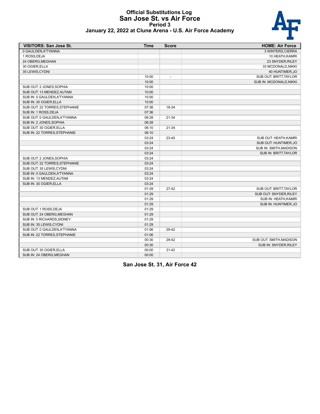#### **Official Substitutions Log San Jose St. vs Air Force Period 3 January 22, 2022 at Clune Arena - U.S. Air Force Academy**



| <b>VISITORS: San Jose St.</b> | <b>Time</b> | <b>Score</b>             | <b>HOME: Air Force</b>  |
|-------------------------------|-------------|--------------------------|-------------------------|
| 0 GAULDEN, A'TYANNA           |             |                          | 3 WINTERS, CIERRA       |
| 1 ROSS, DEJA                  |             |                          | 10 HEATH, KAMRI         |
| 24 OBERG, MEGHAN              |             |                          | 23 SNYDER, RILEY        |
| 30 OGIER, ELLA                |             |                          | 33 MCDONALD, NIKKI      |
| 35 LEWIS, CYDNI               |             |                          | 40 HUNTIMER, JO         |
|                               | 10:00       | $\overline{\phantom{a}}$ | SUB OUT: BRITT, TAYLOR  |
|                               | 10:00       |                          | SUB IN: MCDONALD, NIKKI |
| SUB OUT: 2 JONES, SOPHIA      | 10:00       |                          |                         |
| SUB OUT: 13 MENDEZ, AUTAM     | 10:00       |                          |                         |
| SUB IN: 0 GAULDEN, A'TYANNA   | 10:00       |                          |                         |
| SUB IN: 30 OGIER, ELLA        | 10:00       |                          |                         |
| SUB OUT: 22 TORRES, STEPHANIE | 07:36       | 18-34                    |                         |
| SUB IN: 1 ROSS, DEJA          | 07:36       |                          |                         |
| SUB OUT: 0 GAULDEN.A'TYANNA   | 06:28       | $21 - 34$                |                         |
| SUB IN: 2 JONES, SOPHIA       | 06:28       |                          |                         |
| SUB OUT: 30 OGIER, ELLA       | 06:10       | 21-34                    |                         |
| SUB IN: 22 TORRES, STEPHANIE  | 06:10       |                          |                         |
|                               | 03:24       | 23-40                    | SUB OUT: HEATH, KAMRI   |
|                               | 03:24       |                          | SUB OUT: HUNTIMER, JO   |
|                               | 03:24       |                          | SUB IN: SMITH, MADISON  |
|                               | 03:24       |                          | SUB IN: BRITT, TAYLOR   |
| SUB OUT: 2 JONES, SOPHIA      | 03:24       |                          |                         |
| SUB OUT: 22 TORRES, STEPHANIE | 03:24       |                          |                         |
| SUB OUT: 35 LEWIS, CYDNI      | 03:24       |                          |                         |
| SUB IN: 0 GAULDEN, A'TYANNA   | 03:24       |                          |                         |
| SUB IN: 13 MENDEZ, AUTAM      | 03:24       |                          |                         |
| SUB IN: 30 OGIER, ELLA        | 03:24       |                          |                         |
|                               | 01:29       | $27-42$                  | SUB OUT: BRITT, TAYLOR  |
|                               | 01:29       |                          | SUB OUT: SNYDER, RILEY  |
|                               | 01:29       |                          | SUB IN: HEATH, KAMRI    |
|                               | 01:29       |                          | SUB IN: HUNTIMER, JO    |
| SUB OUT: 1 ROSS, DEJA         | 01:29       |                          |                         |
| SUB OUT: 24 OBERG, MEGHAN     | 01:29       |                          |                         |
| SUB IN: 5 RICHARDS, SIDNEY    | 01:29       |                          |                         |
| SUB IN: 35 LEWIS, CYDNI       | 01:29       |                          |                         |
| SUB OUT: 0 GAULDEN, A'TYANNA  | 01:06       | 29-42                    |                         |
| SUB IN: 22 TORRES, STEPHANIE  | 01:06       |                          |                         |
|                               | 00:30       | 29-42                    | SUB OUT: SMITH, MADISON |
|                               | 00:30       |                          | SUB IN: SNYDER, RILEY   |
| SUB OUT: 30 OGIER, ELLA       | 00:00       | $31 - 42$                |                         |
| SUB IN: 24 OBERG, MEGHAN      | 00:00       |                          |                         |

**San Jose St. 31, Air Force 42**